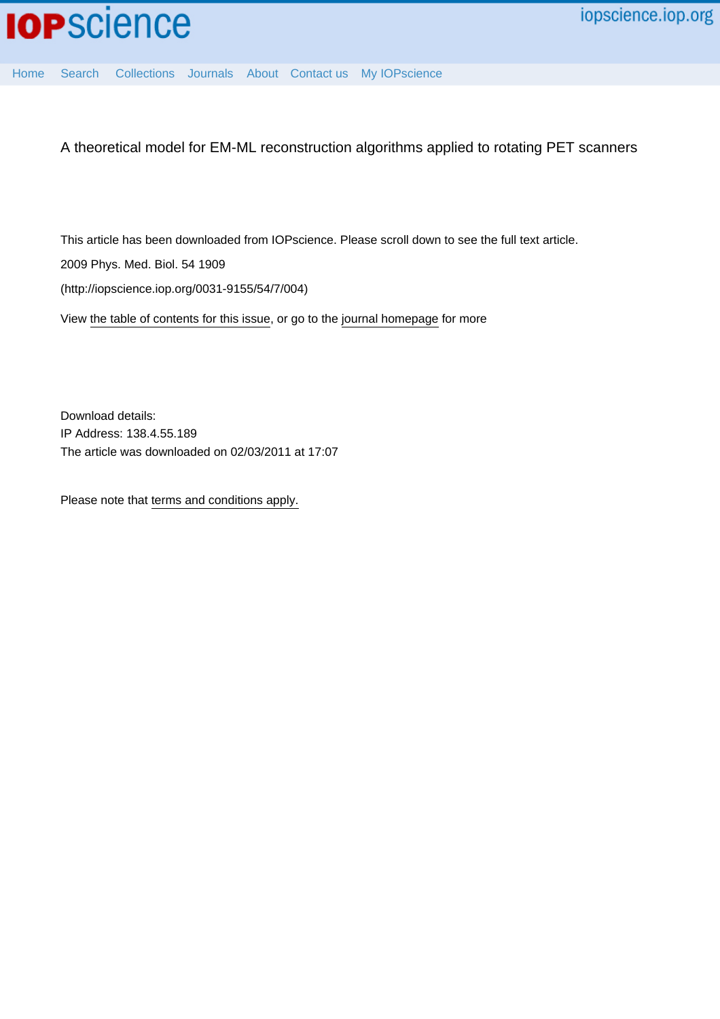

[Home](http://iopscience.iop.org/) [Search](http://iopscience.iop.org/search) [Collections](http://iopscience.iop.org/collections) [Journals](http://iopscience.iop.org/journals) [About](http://iopscience.iop.org/page/aboutioppublishing) [Contact us](http://iopscience.iop.org/contact) [My IOPscience](http://iopscience.iop.org/myiopscience)

A theoretical model for EM-ML reconstruction algorithms applied to rotating PET scanners

This article has been downloaded from IOPscience. Please scroll down to see the full text article.

2009 Phys. Med. Biol. 54 1909

(http://iopscience.iop.org/0031-9155/54/7/004)

View [the table of contents for this issue](http://iopscience.iop.org/0031-9155/54/7), or go to the [journal homepage](http://iopscience.iop.org/0031-9155) for more

Download details: IP Address: 138.4.55.189 The article was downloaded on 02/03/2011 at 17:07

Please note that [terms and conditions apply.](http://iopscience.iop.org/page/terms)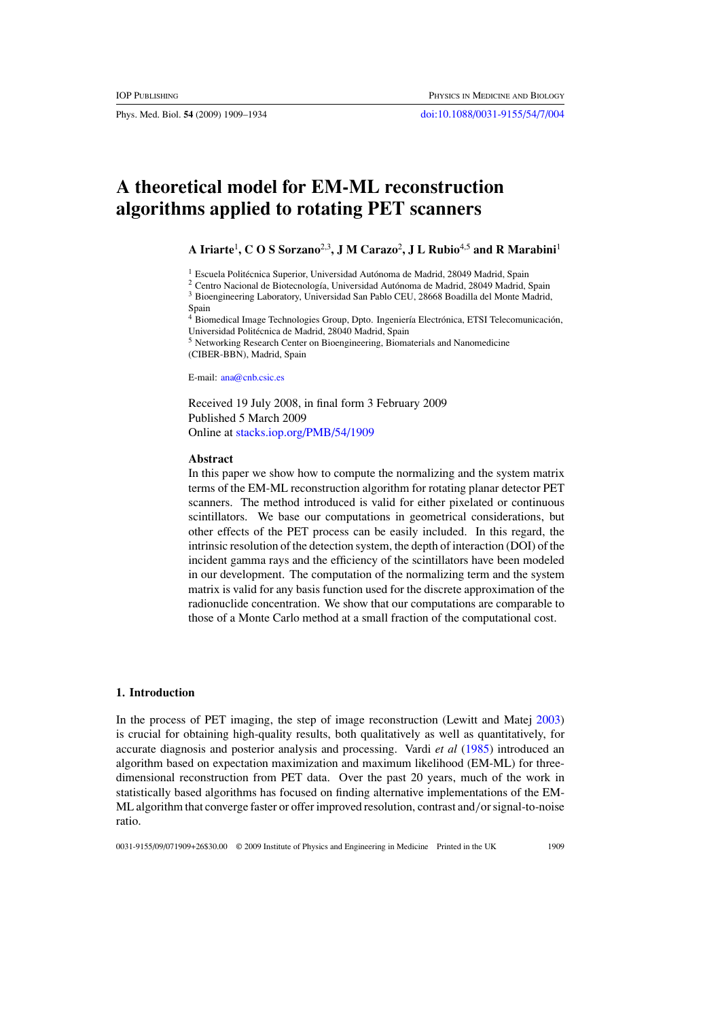Phys. Med. Biol. **54** (2009) 1909–1934 [doi:10.1088/0031-9155/54/7/004](http://dx.doi.org/10.1088/0031-9155/54/7/004)

# **A theoretical model for EM-ML reconstruction algorithms applied to rotating PET scanners**

**A Iriarte**<sup>1</sup> **, C O S Sorzano**2,3**, J M Carazo**<sup>2</sup> **, J L Rubio**4,5 **and R Marabini**<sup>1</sup>

<sup>1</sup> Escuela Politécnica Superior, Universidad Autónoma de Madrid, 28049 Madrid, Spain

<sup>2</sup> Centro Nacional de Biotecnología, Universidad Autónoma de Madrid, 28049 Madrid, Spain <sup>3</sup> Bioengineering Laboratory, Universidad San Pablo CEU, 28668 Boadilla del Monte Madrid, Spain<br> $4\overline{p}$ :

Biomedical Image Technologies Group, Dpto. Ingeniería Electrónica, ETSI Telecomunicación, Universidad Politécnica de Madrid, 28040 Madrid, Spain

<sup>5</sup> Networking Research Center on Bioengineering, Biomaterials and Nanomedicine (CIBER-BBN), Madrid, Spain

E-mail: [ana@cnb.csic.es](mailto:ana@cnb.csic.es)

Received 19 July 2008, in final form 3 February 2009 Published 5 March 2009 Online at [stacks.iop.org/PMB/54/1909](http://stacks.iop.org/PMB/54/1909)

#### **Abstract**

In this paper we show how to compute the normalizing and the system matrix terms of the EM-ML reconstruction algorithm for rotating planar detector PET scanners. The method introduced is valid for either pixelated or continuous scintillators. We base our computations in geometrical considerations, but other effects of the PET process can be easily included. In this regard, the intrinsic resolution of the detection system, the depth of interaction (DOI) of the incident gamma rays and the efficiency of the scintillators have been modeled in our development. The computation of the normalizing term and the system matrix is valid for any basis function used for the discrete approximation of the radionuclide concentration. We show that our computations are comparable to those of a Monte Carlo method at a small fraction of the computational cost.

#### **1. Introduction**

In the process of PET imaging, the step of image reconstruction (Lewitt and Matej [2003](#page-26-0)) is crucial for obtaining high-quality results, both qualitatively as well as quantitatively, for accurate diagnosis and posterior analysis and processing. Vardi *et al* [\(1985](#page-26-0)) introduced an algorithm based on expectation maximization and maximum likelihood (EM-ML) for threedimensional reconstruction from PET data. Over the past 20 years, much of the work in statistically based algorithms has focused on finding alternative implementations of the EM-ML algorithm that converge faster or offer improved resolution, contrast and*/*or signal-to-noise ratio.

0031-9155/09/071909+26\$30.00 © 2009 Institute of Physics and Engineering in Medicine Printed in the UK 1909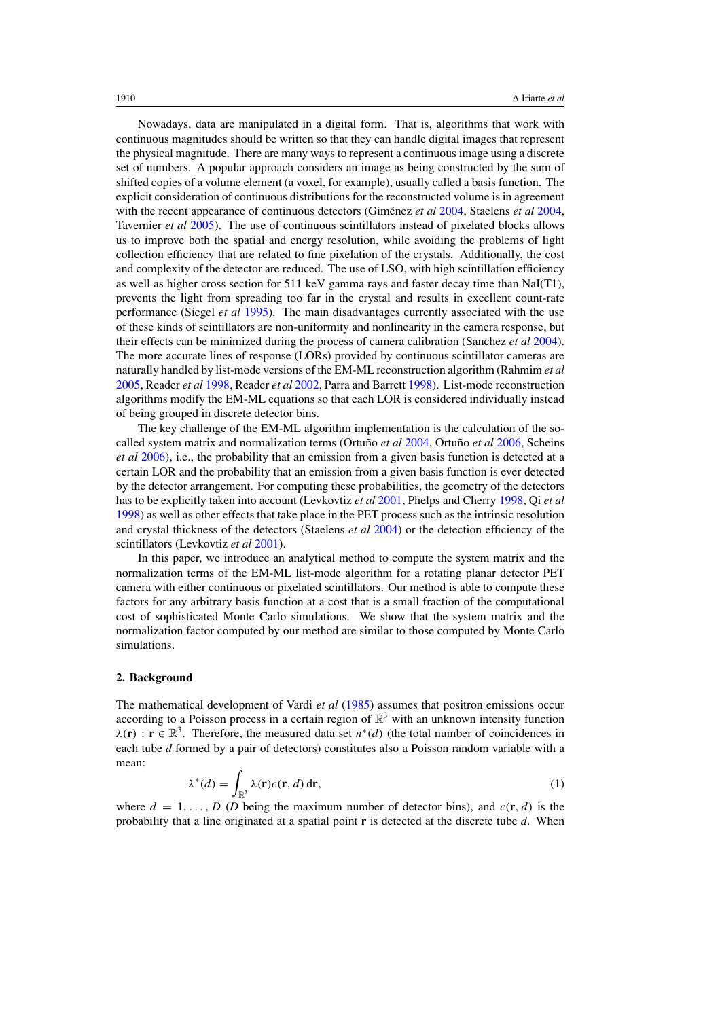Nowadays, data are manipulated in a digital form. That is, algorithms that work with continuous magnitudes should be written so that they can handle digital images that represent the physical magnitude. There are many ways to represent a continuous image using a discrete set of numbers. A popular approach considers an image as being constructed by the sum of shifted copies of a volume element (a voxel, for example), usually called a basis function. The explicit consideration of continuous distributions for the reconstructed volume is in agreement with the recent appearance of continuous detectors (Giménez *et al* [2004](#page-26-0), Staelens *et al* 2004, Tavernier *et al* [2005](#page-26-0)). The use of continuous scintillators instead of pixelated blocks allows us to improve both the spatial and energy resolution, while avoiding the problems of light collection efficiency that are related to fine pixelation of the crystals. Additionally, the cost and complexity of the detector are reduced. The use of LSO, with high scintillation efficiency as well as higher cross section for 511 keV gamma rays and faster decay time than NaI(T1), prevents the light from spreading too far in the crystal and results in excellent count-rate performance (Siegel *et al* [1995\)](#page-26-0). The main disadvantages currently associated with the use of these kinds of scintillators are non-uniformity and nonlinearity in the camera response, but their effects can be minimized during the process of camera calibration (Sanchez *et al* [2004\)](#page-26-0). The more accurate lines of response (LORs) provided by continuous scintillator cameras are naturally handled by list-mode versions of the EM-ML reconstruction algorithm (Rahmim *et al* [2005,](#page-26-0) Reader *et al* [1998,](#page-26-0) Reader *et al* [2002,](#page-26-0) Parra and Barrett [1998](#page-26-0)). List-mode reconstruction algorithms modify the EM-ML equations so that each LOR is considered individually instead of being grouped in discrete detector bins.

The key challenge of the EM-ML algorithm implementation is the calculation of the so-called system matrix and normalization terms (Ortuño et al [2004,](#page-26-0) Ortuño et al [2006](#page-26-0), Scheins *et al* [2006\)](#page-26-0), i.e., the probability that an emission from a given basis function is detected at a certain LOR and the probability that an emission from a given basis function is ever detected by the detector arrangement. For computing these probabilities, the geometry of the detectors has to be explicitly taken into account (Levkovtiz *et al* [2001](#page-26-0), Phelps and Cherry [1998](#page-26-0), Qi *et al* [1998\)](#page-26-0) as well as other effects that take place in the PET process such as the intrinsic resolution and crystal thickness of the detectors (Staelens *et al* [2004\)](#page-26-0) or the detection efficiency of the scintillators (Levkovtiz *et al* [2001](#page-26-0)).

In this paper, we introduce an analytical method to compute the system matrix and the normalization terms of the EM-ML list-mode algorithm for a rotating planar detector PET camera with either continuous or pixelated scintillators. Our method is able to compute these factors for any arbitrary basis function at a cost that is a small fraction of the computational cost of sophisticated Monte Carlo simulations. We show that the system matrix and the normalization factor computed by our method are similar to those computed by Monte Carlo simulations.

#### **2. Background**

The mathematical development of Vardi *et al* [\(1985\)](#page-26-0) assumes that positron emissions occur according to a Poisson process in a certain region of  $\mathbb{R}^3$  with an unknown intensity function  $\lambda(\mathbf{r}) : \mathbf{r} \in \mathbb{R}^3$ . Therefore, the measured data set  $n^*(d)$  (the total number of coincidences in each tube *d* formed by a pair of detectors) constitutes also a Poisson random variable with a mean:

$$
\lambda^*(d) = \int_{\mathbb{R}^3} \lambda(\mathbf{r}) c(\mathbf{r}, d) \, \mathrm{d}\mathbf{r},\tag{1}
$$

where  $d = 1, \ldots, D$  (*D* being the maximum number of detector bins), and  $c(\mathbf{r}, d)$  is the probability that a line originated at a spatial point **r** is detected at the discrete tube *d*. When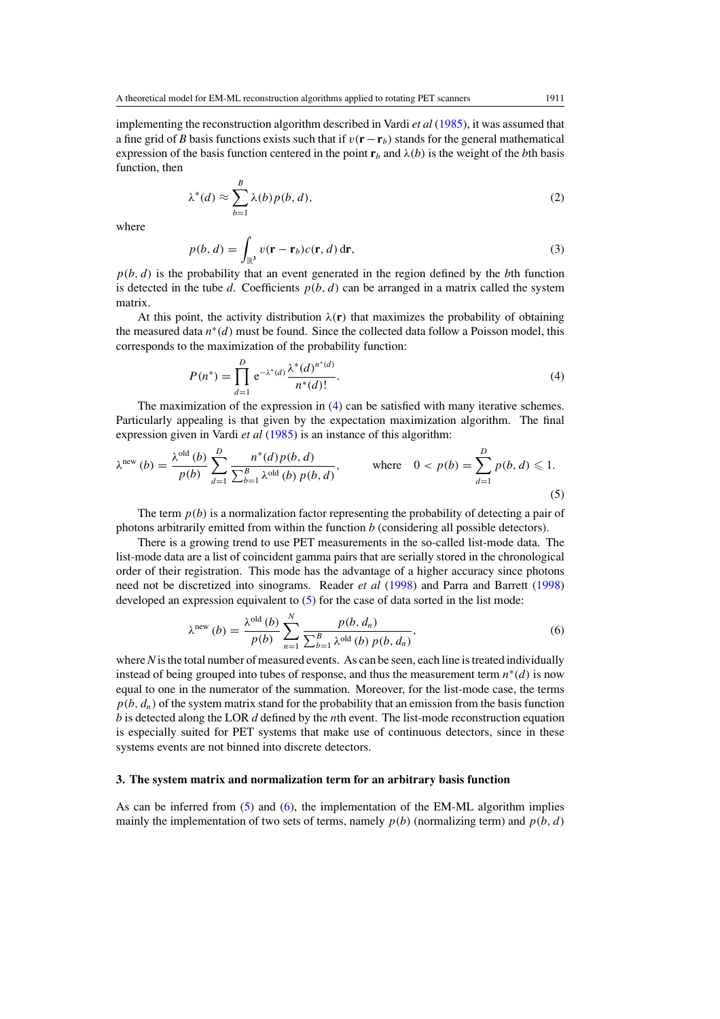<span id="page-3-0"></span>implementing the reconstruction algorithm described in Vardi *et al* [\(1985\)](#page-26-0), it was assumed that a fine grid of *B* basis functions exists such that if  $v(\mathbf{r} - \mathbf{r}_b)$  stands for the general mathematical expression of the basis function centered in the point  $\mathbf{r}_b$  and  $\lambda(b)$  is the weight of the *b*th basis function, then

$$
\lambda^*(d) \approx \sum_{b=1}^B \lambda(b) p(b, d),\tag{2}
$$

where

$$
p(b, d) = \int_{\mathbb{R}^3} v(\mathbf{r} - \mathbf{r}_b)c(\mathbf{r}, d) d\mathbf{r},
$$
\n(3)

 $p(b, d)$  is the probability that an event generated in the region defined by the *b*th function is detected in the tube *d*. Coefficients  $p(b, d)$  can be arranged in a matrix called the system matrix.

At this point, the activity distribution  $\lambda(r)$  that maximizes the probability of obtaining the measured data *n*<sup>∗</sup>*(d)* must be found. Since the collected data follow a Poisson model, this corresponds to the maximization of the probability function:

$$
P(n^*) = \prod_{d=1}^{D} e^{-\lambda^*(d)} \frac{\lambda^*(d)^{n^*(d)}}{n^*(d)!}.
$$
 (4)

The maximization of the expression in (4) can be satisfied with many iterative schemes. Particularly appealing is that given by the expectation maximization algorithm. The final expression given in Vardi *et al* [\(1985\)](#page-26-0) is an instance of this algorithm:

$$
\lambda^{\text{new}}(b) = \frac{\lambda^{\text{old}}(b)}{p(b)} \sum_{d=1}^{D} \frac{n^*(d) p(b, d)}{\sum_{b=1}^{B} \lambda^{\text{old}}(b) p(b, d)}, \quad \text{where} \quad 0 < p(b) = \sum_{d=1}^{D} p(b, d) \leq 1. \tag{5}
$$

The term  $p(b)$  is a normalization factor representing the probability of detecting a pair of photons arbitrarily emitted from within the function *b* (considering all possible detectors).

There is a growing trend to use PET measurements in the so-called list-mode data. The list-mode data are a list of coincident gamma pairs that are serially stored in the chronological order of their registration. This mode has the advantage of a higher accuracy since photons need not be discretized into sinograms. Reader *et al* [\(1998](#page-26-0)) and Parra and Barrett [\(1998](#page-26-0)) developed an expression equivalent to (5) for the case of data sorted in the list mode:

$$
\lambda^{\text{new}}\left(b\right) = \frac{\lambda^{\text{old}}\left(b\right)}{p\left(b\right)} \sum_{n=1}^{N} \frac{p\left(b, d_n\right)}{\sum_{b=1}^{B} \lambda^{\text{old}}\left(b\right) p\left(b, d_n\right)},\tag{6}
$$

where *N* is the total number of measured events. As can be seen, each line is treated individually instead of being grouped into tubes of response, and thus the measurement term *n*∗*(d)* is now equal to one in the numerator of the summation. Moreover, for the list-mode case, the terms  $p(b, d_n)$  of the system matrix stand for the probability that an emission from the basis function *b* is detected along the LOR *d* defined by the *n*th event. The list-mode reconstruction equation is especially suited for PET systems that make use of continuous detectors, since in these systems events are not binned into discrete detectors.

#### **3. The system matrix and normalization term for an arbitrary basis function**

As can be inferred from (5) and (6), the implementation of the EM-ML algorithm implies mainly the implementation of two sets of terms, namely  $p(b)$  (normalizing term) and  $p(b, d)$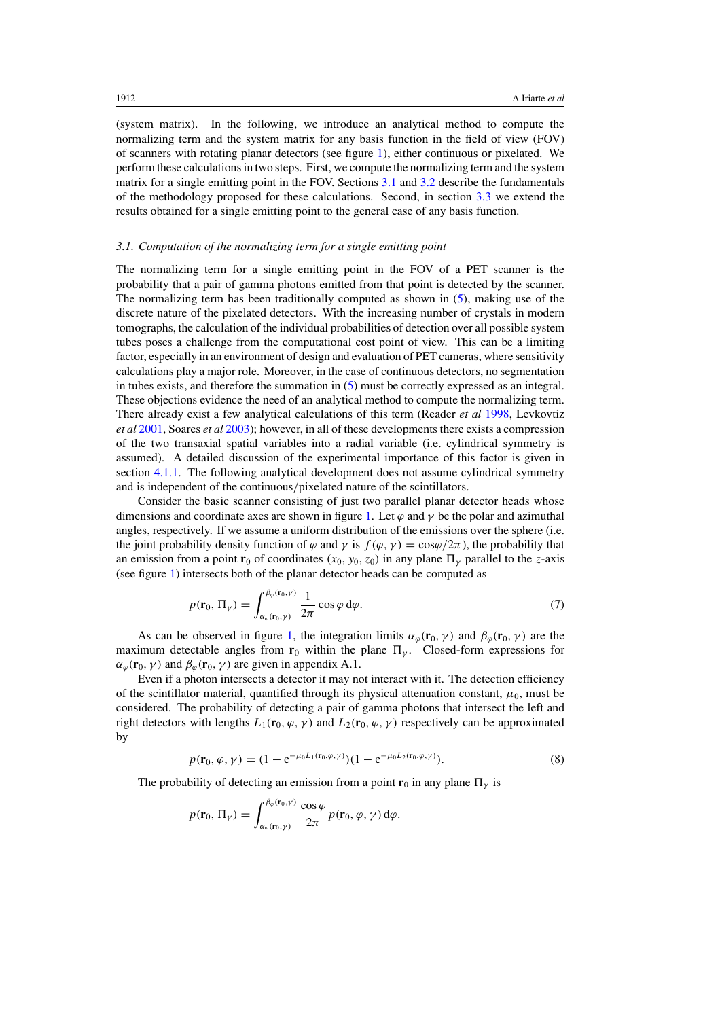<span id="page-4-0"></span>(system matrix). In the following, we introduce an analytical method to compute the normalizing term and the system matrix for any basis function in the field of view (FOV) of scanners with rotating planar detectors (see figure [1\)](#page-5-0), either continuous or pixelated. We perform these calculations in two steps. First, we compute the normalizing term and the system matrix for a single emitting point in the FOV. Sections 3.1 and [3.2](#page-6-0) describe the fundamentals of the methodology proposed for these calculations. Second, in section [3.3](#page-12-0) we extend the results obtained for a single emitting point to the general case of any basis function.

## *3.1. Computation of the normalizing term for a single emitting point*

The normalizing term for a single emitting point in the FOV of a PET scanner is the probability that a pair of gamma photons emitted from that point is detected by the scanner. The normalizing term has been traditionally computed as shown in [\(5\)](#page-3-0), making use of the discrete nature of the pixelated detectors. With the increasing number of crystals in modern tomographs, the calculation of the individual probabilities of detection over all possible system tubes poses a challenge from the computational cost point of view. This can be a limiting factor, especially in an environment of design and evaluation of PET cameras, where sensitivity calculations play a major role. Moreover, in the case of continuous detectors, no segmentation in tubes exists, and therefore the summation in [\(5\)](#page-3-0) must be correctly expressed as an integral. These objections evidence the need of an analytical method to compute the normalizing term. There already exist a few analytical calculations of this term (Reader *et al* [1998,](#page-26-0) Levkovtiz *et al* [2001,](#page-26-0) Soares *et al* [2003](#page-26-0)); however, in all of these developments there exists a compression of the two transaxial spatial variables into a radial variable (i.e. cylindrical symmetry is assumed). A detailed discussion of the experimental importance of this factor is given in section [4.1.1.](#page-13-0) The following analytical development does not assume cylindrical symmetry and is independent of the continuous*/*pixelated nature of the scintillators.

Consider the basic scanner consisting of just two parallel planar detector heads whose dimensions and coordinate axes are shown in figure [1.](#page-5-0) Let  $\varphi$  and  $\gamma$  be the polar and azimuthal angles, respectively. If we assume a uniform distribution of the emissions over the sphere (i.e. the joint probability density function of  $\varphi$  and  $\gamma$  is  $f(\varphi, \gamma) = \cos \varphi/2\pi$ , the probability that an emission from a point **r**<sub>0</sub> of coordinates  $(x_0, y_0, z_0)$  in any plane  $\Pi_\nu$  parallel to the *z*-axis (see figure [1\)](#page-5-0) intersects both of the planar detector heads can be computed as

$$
p(\mathbf{r}_0, \Pi_{\gamma}) = \int_{\alpha_{\varphi}(\mathbf{r}_0, \gamma)}^{\beta_{\varphi}(\mathbf{r}_0, \gamma)} \frac{1}{2\pi} \cos \varphi \, d\varphi.
$$
 (7)

As can be observed in figure [1,](#page-5-0) the integration limits  $\alpha_{\varphi}(\mathbf{r}_0, \gamma)$  and  $\beta_{\varphi}(\mathbf{r}_0, \gamma)$  are the maximum detectable angles from  $\mathbf{r}_0$  within the plane  $\Pi_{\gamma}$ . Closed-form expressions for  $\alpha_{\varphi}(\mathbf{r}_0, \gamma)$  and  $\beta_{\varphi}(\mathbf{r}_0, \gamma)$  are given in appendix A.1.

Even if a photon intersects a detector it may not interact with it. The detection efficiency of the scintillator material, quantified through its physical attenuation constant,  $\mu_0$ , must be considered. The probability of detecting a pair of gamma photons that intersect the left and right detectors with lengths  $L_1(\mathbf{r}_0, \varphi, \gamma)$  and  $L_2(\mathbf{r}_0, \varphi, \gamma)$  respectively can be approximated by

$$
p(\mathbf{r}_0, \varphi, \gamma) = (1 - e^{-\mu_0 L_1(\mathbf{r}_0, \varphi, \gamma)})(1 - e^{-\mu_0 L_2(\mathbf{r}_0, \varphi, \gamma)}).
$$
(8)

The probability of detecting an emission from a point  $\mathbf{r}_0$  in any plane  $\Pi_{\nu}$  is

$$
p(\mathbf{r}_0, \Pi_{\gamma}) = \int_{\alpha_{\varphi}(\mathbf{r}_0, \gamma)}^{\beta_{\varphi}(\mathbf{r}_0, \gamma)} \frac{\cos \varphi}{2\pi} p(\mathbf{r}_0, \varphi, \gamma) d\varphi.
$$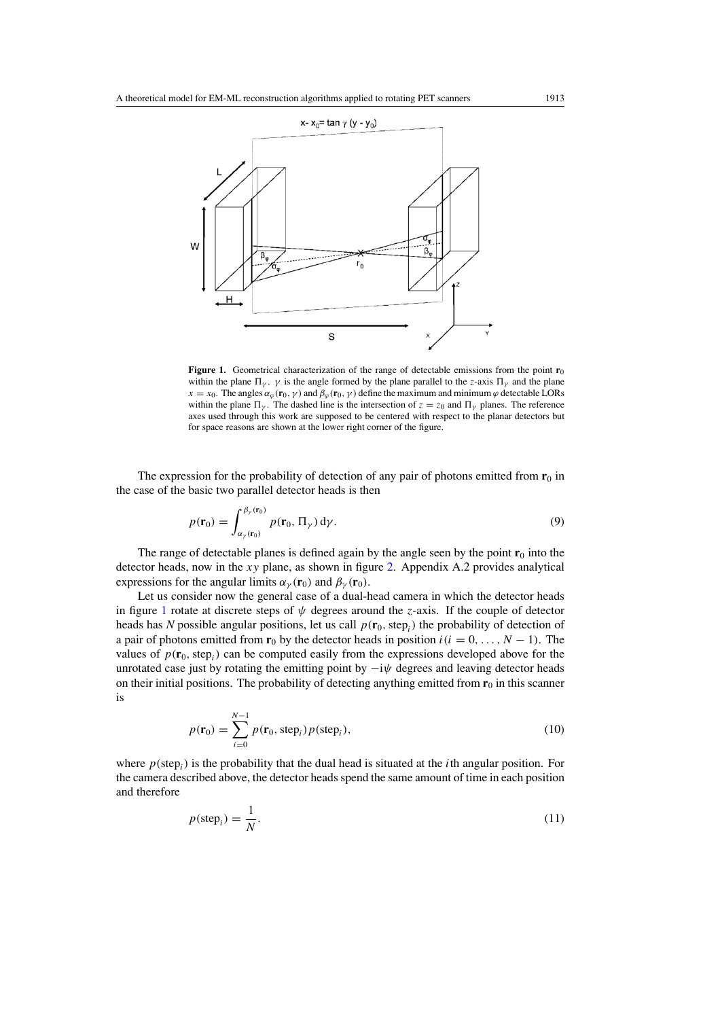<span id="page-5-0"></span>

**Figure 1.** Geometrical characterization of the range of detectable emissions from the point  $\mathbf{r}_0$ within the plane  $\Pi_{\gamma}$ .  $\gamma$  is the angle formed by the plane parallel to the *z*-axis  $\Pi_{\gamma}$  and the plane *x* = *x*<sub>0</sub>. The angles  $\alpha_\varphi(\mathbf{r}_0, \gamma)$  and  $\beta_\varphi(\mathbf{r}_0, \gamma)$  define the maximum and minimum  $\varphi$  detectable LORs within the plane  $\Pi_{\nu}$ . The dashed line is the intersection of  $z = z_0$  and  $\Pi_{\nu}$  planes. The reference axes used through this work are supposed to be centered with respect to the planar detectors but for space reasons are shown at the lower right corner of the figure.

The expression for the probability of detection of any pair of photons emitted from  $\mathbf{r}_0$  in the case of the basic two parallel detector heads is then

$$
p(\mathbf{r}_0) = \int_{\alpha_\gamma(\mathbf{r}_0)}^{\beta_\gamma(\mathbf{r}_0)} p(\mathbf{r}_0, \Pi_\gamma) d\gamma.
$$
 (9)

The range of detectable planes is defined again by the angle seen by the point  $\mathbf{r}_0$  into the detector heads, now in the *xy* plane, as shown in figure [2.](#page-6-0) Appendix A.2 provides analytical expressions for the angular limits  $\alpha_{\nu}(\mathbf{r}_0)$  and  $\beta_{\nu}(\mathbf{r}_0)$ .

Let us consider now the general case of a dual-head camera in which the detector heads in figure 1 rotate at discrete steps of *ψ* degrees around the *z*-axis. If the couple of detector heads has *N* possible angular positions, let us call  $p(\mathbf{r}_0, \text{step}_i)$  the probability of detection of a pair of photons emitted from  $\mathbf{r}_0$  by the detector heads in position  $i(i = 0, \ldots, N - 1)$ . The values of  $p(\mathbf{r}_0, \text{step}_i)$  can be computed easily from the expressions developed above for the unrotated case just by rotating the emitting point by  $-i\psi$  degrees and leaving detector heads on their initial positions. The probability of detecting anything emitted from  $\mathbf{r}_0$  in this scanner is

$$
p(\mathbf{r}_0) = \sum_{i=0}^{N-1} p(\mathbf{r}_0, \text{step}_i) p(\text{step}_i),
$$
\n(10)

where  $p$ (step<sub>i</sub>) is the probability that the dual head is situated at the *i*th angular position. For the camera described above, the detector heads spend the same amount of time in each position and therefore

$$
p(\text{step}_i) = \frac{1}{N}.\tag{11}
$$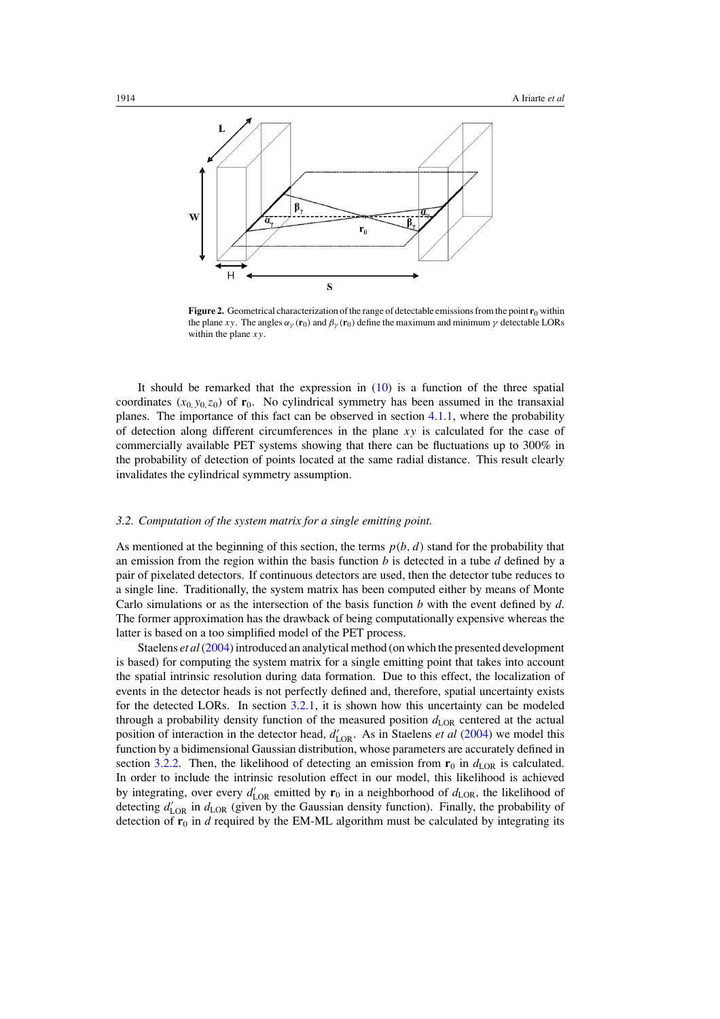<span id="page-6-0"></span>

Figure 2. Geometrical characterization of the range of detectable emissions from the point **r**<sub>0</sub> within the plane *xy*. The angles  $\alpha_{\gamma}(\mathbf{r}_0)$  and  $\beta_{\gamma}(\mathbf{r}_0)$  define the maximum and minimum  $\gamma$  detectable LORs within the plane *xy*.

It should be remarked that the expression in  $(10)$  is a function of the three spatial coordinates  $(x_0, y_0, z_0)$  of  $\mathbf{r}_0$ . No cylindrical symmetry has been assumed in the transaxial planes. The importance of this fact can be observed in section [4.1.1,](#page-13-0) where the probability of detection along different circumferences in the plane *xy* is calculated for the case of commercially available PET systems showing that there can be fluctuations up to 300% in the probability of detection of points located at the same radial distance. This result clearly invalidates the cylindrical symmetry assumption.

#### *3.2. Computation of the system matrix for a single emitting point.*

As mentioned at the beginning of this section, the terms  $p(b, d)$  stand for the probability that an emission from the region within the basis function *b* is detected in a tube *d* defined by a pair of pixelated detectors. If continuous detectors are used, then the detector tube reduces to a single line. Traditionally, the system matrix has been computed either by means of Monte Carlo simulations or as the intersection of the basis function *b* with the event defined by *d*. The former approximation has the drawback of being computationally expensive whereas the latter is based on a too simplified model of the PET process.

Staelens *et al*[\(2004\)](#page-26-0) introduced an analytical method (on which the presented development is based) for computing the system matrix for a single emitting point that takes into account the spatial intrinsic resolution during data formation. Due to this effect, the localization of events in the detector heads is not perfectly defined and, therefore, spatial uncertainty exists for the detected LORs. In section [3.2.1,](#page-7-0) it is shown how this uncertainty can be modeled through a probability density function of the measured position  $d_{\text{LOR}}$  centered at the actual position of interaction in the detector head,  $d'_{\text{LOR}}$ . As in Staelens *et al* [\(2004\)](#page-26-0) we model this function by a bidimensional Gaussian distribution, whose parameters are accurately defined in section [3.2.2.](#page-9-0) Then, the likelihood of detecting an emission from  $\mathbf{r}_0$  in  $d_{\text{LOR}}$  is calculated. In order to include the intrinsic resolution effect in our model, this likelihood is achieved by integrating, over every  $d'_{\text{LOR}}$  emitted by  $\mathbf{r}_0$  in a neighborhood of  $d_{\text{LOR}}$ , the likelihood of detecting  $d'_{\text{LOR}}$  in  $d_{\text{LOR}}$  (given by the Gaussian density function). Finally, the probability of detection of  $\mathbf{r}_0$  in *d* required by the EM-ML algorithm must be calculated by integrating its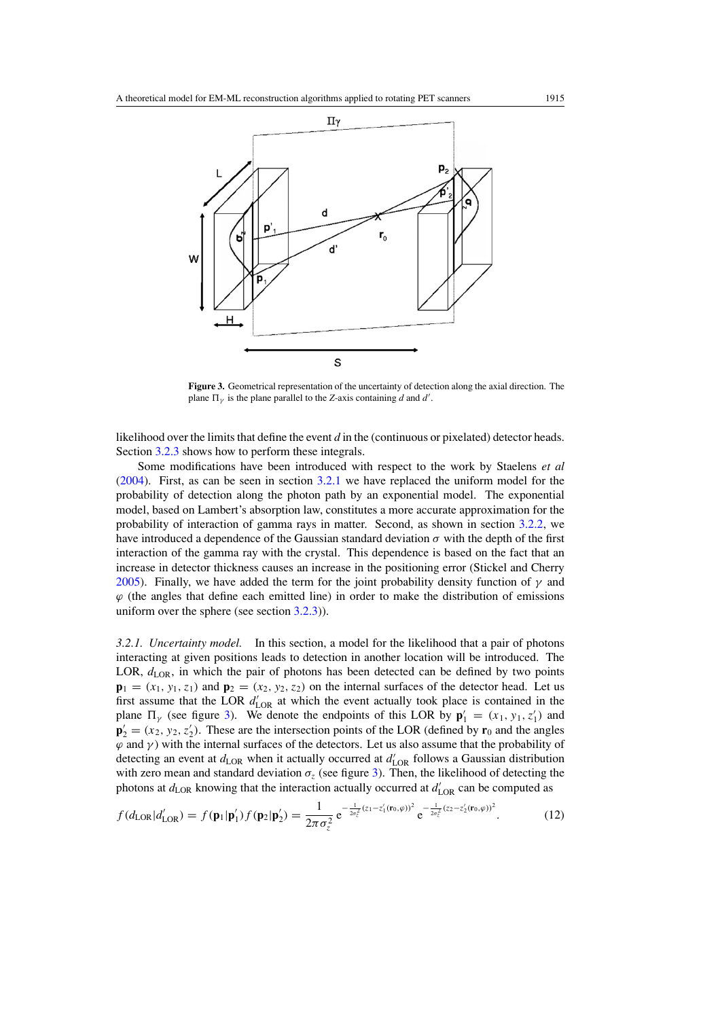<span id="page-7-0"></span>

**Figure 3.** Geometrical representation of the uncertainty of detection along the axial direction. The plane  $\Pi_{\gamma}$  is the plane parallel to the *Z*-axis containing *d* and *d'*.

likelihood over the limits that define the event *d* in the (continuous or pixelated) detector heads. Section [3.2.3](#page-10-0) shows how to perform these integrals.

Some modifications have been introduced with respect to the work by Staelens *et al* [\(2004](#page-26-0)). First, as can be seen in section 3.2.1 we have replaced the uniform model for the probability of detection along the photon path by an exponential model. The exponential model, based on Lambert's absorption law, constitutes a more accurate approximation for the probability of interaction of gamma rays in matter. Second, as shown in section [3.2.2,](#page-9-0) we have introduced a dependence of the Gaussian standard deviation  $\sigma$  with the depth of the first interaction of the gamma ray with the crystal. This dependence is based on the fact that an increase in detector thickness causes an increase in the positioning error (Stickel and Cherry [2005\)](#page-26-0). Finally, we have added the term for the joint probability density function of  $\gamma$  and  $\varphi$  (the angles that define each emitted line) in order to make the distribution of emissions uniform over the sphere (see section [3.2.3\)](#page-10-0)).

*3.2.1. Uncertainty model.* In this section, a model for the likelihood that a pair of photons interacting at given positions leads to detection in another location will be introduced. The LOR,  $d_{\text{LOR}}$ , in which the pair of photons has been detected can be defined by two points  $\mathbf{p}_1 = (x_1, y_1, z_1)$  and  $\mathbf{p}_2 = (x_2, y_2, z_2)$  on the internal surfaces of the detector head. Let us first assume that the LOR  $d'_{\text{LOR}}$  at which the event actually took place is contained in the plane  $\Pi$ <sub>*y*</sub> (see figure 3). We denote the endpoints of this LOR by  $\mathbf{p}'_1 = (x_1, y_1, z'_1)$  and  $\mathbf{p}'_2 = (x_2, y_2, z'_2)$ . These are the intersection points of the LOR (defined by  $\mathbf{r}_0$  and the angles  $\varphi$  and  $\gamma$ ) with the internal surfaces of the detectors. Let us also assume that the probability of detecting an event at  $d_{\text{LOR}}$  when it actually occurred at  $d'_{\text{LOR}}$  follows a Gaussian distribution with zero mean and standard deviation  $\sigma_z$  (see figure 3). Then, the likelihood of detecting the photons at  $d_{\text{LOR}}$  knowing that the interaction actually occurred at  $d'_{\text{LOR}}$  can be computed as

$$
f(d_{\text{LOR}}|d'_{\text{LOR}}) = f(\mathbf{p}_1|\mathbf{p}'_1) f(\mathbf{p}_2|\mathbf{p}'_2) = \frac{1}{2\pi\sigma_z^2} e^{-\frac{1}{2\sigma_z^2}(z_1 - z'_1(\mathbf{r}_0, \varphi))^2} e^{-\frac{1}{2\sigma_z^2}(z_2 - z'_2(\mathbf{r}_0, \varphi))^2}.
$$
(12)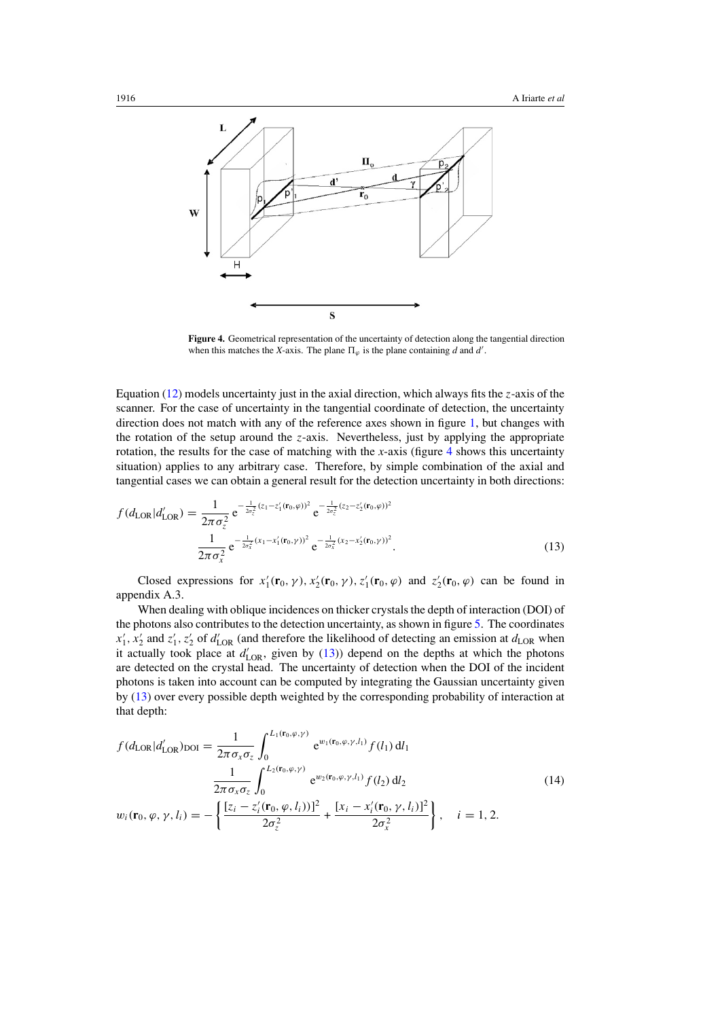<span id="page-8-0"></span>

**Figure 4.** Geometrical representation of the uncertainty of detection along the tangential direction when this matches the *X*-axis. The plane  $\Pi_{\varphi}$  is the plane containing *d* and *d'*.

Equation [\(12\)](#page-7-0) models uncertainty just in the axial direction, which always fits the *z*-axis of the scanner. For the case of uncertainty in the tangential coordinate of detection, the uncertainty direction does not match with any of the reference axes shown in figure [1,](#page-5-0) but changes with the rotation of the setup around the *z*-axis. Nevertheless, just by applying the appropriate rotation, the results for the case of matching with the *x*-axis (figure 4 shows this uncertainty situation) applies to any arbitrary case. Therefore, by simple combination of the axial and tangential cases we can obtain a general result for the detection uncertainty in both directions:

$$
f(d_{\text{LOR}}|d'_{\text{LOR}}) = \frac{1}{2\pi\sigma_z^2} e^{-\frac{1}{2\sigma_z^2}(z_1 - z'_1(\mathbf{r}_0, \varphi))^2} e^{-\frac{1}{2\sigma_z^2}(z_2 - z'_2(\mathbf{r}_0, \varphi))^2}
$$

$$
\frac{1}{2\pi\sigma_x^2} e^{-\frac{1}{2\sigma_x^2}(x_1 - x'_1(\mathbf{r}_0, \gamma))^2} e^{-\frac{1}{2\sigma_x^2}(x_2 - x'_2(\mathbf{r}_0, \gamma))^2}.
$$
(13)

Closed expressions for  $x'_1$ (**r**<sub>0</sub>,  $\gamma$ ),  $x'_2$ (**r**<sub>0</sub>,  $\gamma$ ),  $z'_1$ (**r**<sub>0</sub>,  $\varphi$ ) and  $z'_2$ (**r**<sub>0</sub>,  $\varphi$ ) can be found in appendix A.3.

When dealing with oblique incidences on thicker crystals the depth of interaction (DOI) of the photons also contributes to the detection uncertainty, as shown in figure [5.](#page-9-0) The coordinates  $x'_1, x'_2$  and  $z'_1, z'_2$  of  $d'_{\text{LOR}}$  (and therefore the likelihood of detecting an emission at  $d_{\text{LOR}}$  when it actually took place at  $d'_{\text{LOR}}$ , given by (13)) depend on the depths at which the photons are detected on the crystal head. The uncertainty of detection when the DOI of the incident photons is taken into account can be computed by integrating the Gaussian uncertainty given by (13) over every possible depth weighted by the corresponding probability of interaction at that depth:

$$
f(d_{\text{LOR}}|d'_{\text{LOR}})_{\text{DOI}} = \frac{1}{2\pi\sigma_x\sigma_z} \int_0^{L_1(\mathbf{r}_0,\varphi,\gamma)} e^{w_1(\mathbf{r}_0,\varphi,\gamma,l_1)} f(l_1) \, \mathrm{d}l_1
$$
  

$$
\frac{1}{2\pi\sigma_x\sigma_z} \int_0^{L_2(\mathbf{r}_0,\varphi,\gamma)} e^{w_2(\mathbf{r}_0,\varphi,\gamma,l_1)} f(l_2) \, \mathrm{d}l_2
$$
  

$$
w_i(\mathbf{r}_0,\varphi,\gamma,l_i) = -\left\{ \frac{[z_i - z'_i(\mathbf{r}_0,\varphi,l_i))]^2}{2\sigma_z^2} + \frac{[x_i - x'_i(\mathbf{r}_0,\gamma,l_i)]^2}{2\sigma_x^2} \right\}, \quad i = 1, 2.
$$
 (14)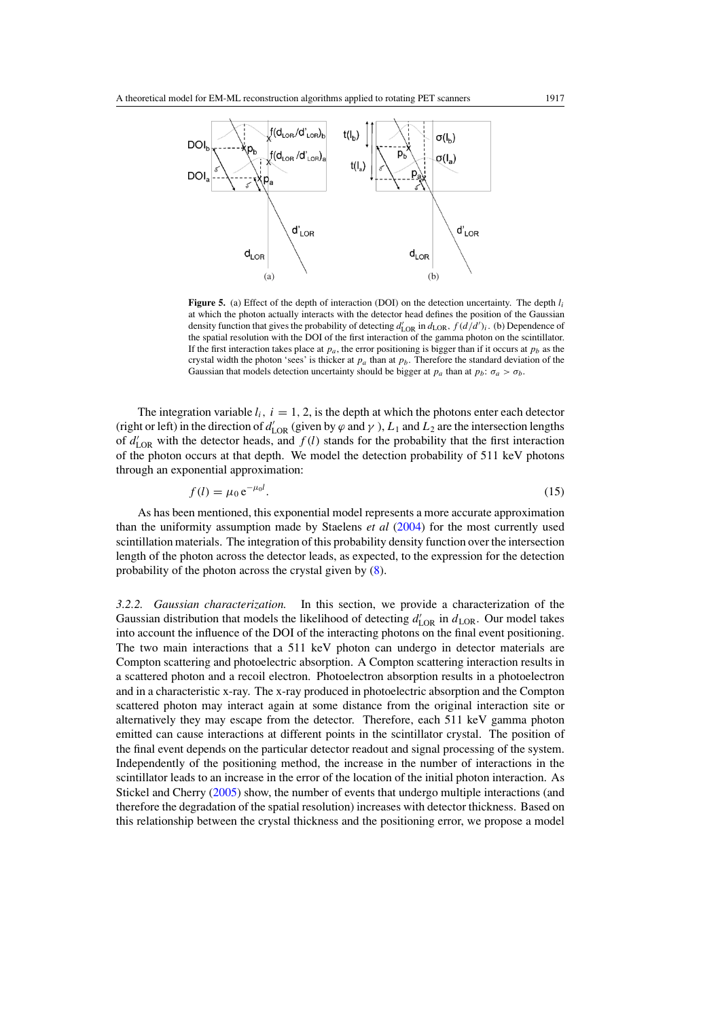<span id="page-9-0"></span>

**Figure 5.** (a) Effect of the depth of interaction (DOI) on the detection uncertainty. The depth *l<sub>i</sub>* at which the photon actually interacts with the detector head defines the position of the Gaussian density function that gives the probability of detecting  $d'_{\text{LOR}}$  in  $d_{\text{LOR}}$ ,  $f(d/d')_i$ . (b) Dependence of the spatial resolution with the DOI of the first interaction of the gamma photon on the scintillator. If the first interaction takes place at  $p_a$ , the error positioning is bigger than if it occurs at  $p_b$  as the crystal width the photon 'sees' is thicker at  $p_a$  than at  $p_b$ . Therefore the standard deviation of the Gaussian that models detection uncertainty should be bigger at  $p_a$  than at  $p_b$ :  $\sigma_a > \sigma_b$ .

The integration variable  $l_i$ ,  $i = 1, 2$ , is the depth at which the photons enter each detector (right or left) in the direction of  $d'_{\text{LOR}}$  (given by  $\varphi$  and  $\gamma$ ),  $L_1$  and  $L_2$  are the intersection lengths of  $d'_{\text{LOR}}$  with the detector heads, and  $f(l)$  stands for the probability that the first interaction of the photon occurs at that depth. We model the detection probability of 511 keV photons through an exponential approximation:

$$
f(l) = \mu_0 e^{-\mu_0 l}.\tag{15}
$$

As has been mentioned, this exponential model represents a more accurate approximation than the uniformity assumption made by Staelens *et al* [\(2004](#page-26-0)) for the most currently used scintillation materials. The integration of this probability density function over the intersection length of the photon across the detector leads, as expected, to the expression for the detection probability of the photon across the crystal given by [\(8\)](#page-4-0).

*3.2.2. Gaussian characterization.* In this section, we provide a characterization of the Gaussian distribution that models the likelihood of detecting  $d'_{\text{LOR}}$  in  $d_{\text{LOR}}$ . Our model takes into account the influence of the DOI of the interacting photons on the final event positioning. The two main interactions that a 511 keV photon can undergo in detector materials are Compton scattering and photoelectric absorption. A Compton scattering interaction results in a scattered photon and a recoil electron. Photoelectron absorption results in a photoelectron and in a characteristic x-ray. The x-ray produced in photoelectric absorption and the Compton scattered photon may interact again at some distance from the original interaction site or alternatively they may escape from the detector. Therefore, each 511 keV gamma photon emitted can cause interactions at different points in the scintillator crystal. The position of the final event depends on the particular detector readout and signal processing of the system. Independently of the positioning method, the increase in the number of interactions in the scintillator leads to an increase in the error of the location of the initial photon interaction. As Stickel and Cherry [\(2005\)](#page-26-0) show, the number of events that undergo multiple interactions (and therefore the degradation of the spatial resolution) increases with detector thickness. Based on this relationship between the crystal thickness and the positioning error, we propose a model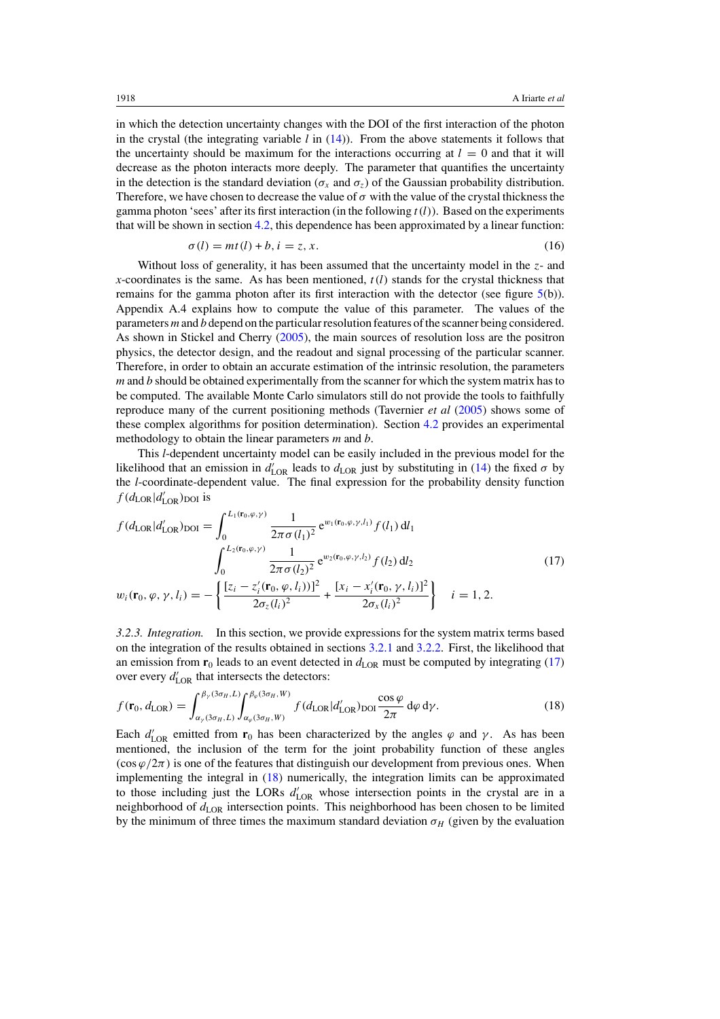<span id="page-10-0"></span>in which the detection uncertainty changes with the DOI of the first interaction of the photon in the crystal (the integrating variable *l* in [\(14\)](#page-8-0)). From the above statements it follows that the uncertainty should be maximum for the interactions occurring at  $l = 0$  and that it will decrease as the photon interacts more deeply. The parameter that quantifies the uncertainty in the detection is the standard deviation ( $\sigma_x$  and  $\sigma_z$ ) of the Gaussian probability distribution. Therefore, we have chosen to decrease the value of  $\sigma$  with the value of the crystal thickness the gamma photon 'sees' after its first interaction (in the following  $t(l)$ ). Based on the experiments that will be shown in section [4.2,](#page-14-0) this dependence has been approximated by a linear function:

$$
\sigma(l) = mt(l) + b, i = z, x.
$$
\n<sup>(16)</sup>

Without loss of generality, it has been assumed that the uncertainty model in the *z*- and *x*-coordinates is the same. As has been mentioned, *t(l)* stands for the crystal thickness that remains for the gamma photon after its first interaction with the detector (see figure  $5(b)$  $5(b)$ ). Appendix A.4 explains how to compute the value of this parameter. The values of the parameters *m* and *b* depend on the particular resolution features of the scanner being considered. As shown in Stickel and Cherry [\(2005](#page-26-0)), the main sources of resolution loss are the positron physics, the detector design, and the readout and signal processing of the particular scanner. Therefore, in order to obtain an accurate estimation of the intrinsic resolution, the parameters *m* and *b* should be obtained experimentally from the scanner for which the system matrix has to be computed. The available Monte Carlo simulators still do not provide the tools to faithfully reproduce many of the current positioning methods (Tavernier *et al* [\(2005\)](#page-26-0) shows some of these complex algorithms for position determination). Section [4.2](#page-14-0) provides an experimental methodology to obtain the linear parameters *m* and *b*.

This *l*-dependent uncertainty model can be easily included in the previous model for the likelihood that an emission in  $d'_{\text{LOR}}$  leads to  $d_{\text{LOR}}$  just by substituting in [\(14\)](#page-8-0) the fixed  $\sigma$  by the *l*-coordinate-dependent value. The final expression for the probability density function  $f(d_{\text{LOR}}|d'_{\text{LOR}})_{\text{DOI}}$  is

$$
f(d_{\text{LOR}}|d'_{\text{LOR}})_{\text{DOI}} = \int_{0}^{L_{1}(\mathbf{r}_{0},\varphi,\gamma)} \frac{1}{2\pi\sigma(l_{1})^{2}} e^{w_{1}(\mathbf{r}_{0},\varphi,\gamma,l_{1})} f(l_{1}) dl_{1}
$$
  

$$
\int_{0}^{L_{2}(\mathbf{r}_{0},\varphi,\gamma)} \frac{1}{2\pi\sigma(l_{2})^{2}} e^{w_{2}(\mathbf{r}_{0},\varphi,\gamma,l_{2})} f(l_{2}) dl_{2}
$$
  

$$
w_{i}(\mathbf{r}_{0},\varphi,\gamma,l_{i}) = -\left\{ \frac{[z_{i} - z'_{i}(\mathbf{r}_{0},\varphi,l_{i}))]^{2}}{2\sigma_{z}(l_{i})^{2}} + \frac{[x_{i} - x'_{i}(\mathbf{r}_{0},\gamma,l_{i})]^{2}}{2\sigma_{x}(l_{i})^{2}} \right\} \quad i = 1, 2.
$$
 (17)

*3.2.3. Integration.* In this section, we provide expressions for the system matrix terms based on the integration of the results obtained in sections [3.2.1](#page-7-0) and [3.2.2.](#page-9-0) First, the likelihood that an emission from  $\mathbf{r}_0$  leads to an event detected in  $d_{\text{LOR}}$  must be computed by integrating (17) over every  $d'_{\text{LOR}}$  that intersects the detectors:

$$
f(\mathbf{r}_0, d_{\text{LOR}}) = \int_{\alpha_{\gamma}(3\sigma_H, L)}^{\beta_{\gamma}(3\sigma_H, L)} \int_{\alpha_{\varphi}(3\sigma_H, W)}^{\beta_{\varphi}(3\sigma_H, W)} f(d_{\text{LOR}}|d'_{\text{LOR}})_{\text{DOI}} \frac{\cos \varphi}{2\pi} d\varphi d\gamma.
$$
 (18)

Each  $d'_{\text{LOR}}$  emitted from  $\mathbf{r}_0$  has been characterized by the angles  $\varphi$  and  $\gamma$ . As has been mentioned, the inclusion of the term for the joint probability function of these angles  $(\cos \varphi/2\pi)$  is one of the features that distinguish our development from previous ones. When implementing the integral in (18) numerically, the integration limits can be approximated to those including just the LORs  $d'_{\text{LOR}}$  whose intersection points in the crystal are in a neighborhood of  $d_{\text{LOR}}$  intersection points. This neighborhood has been chosen to be limited by the minimum of three times the maximum standard deviation  $\sigma_H$  (given by the evaluation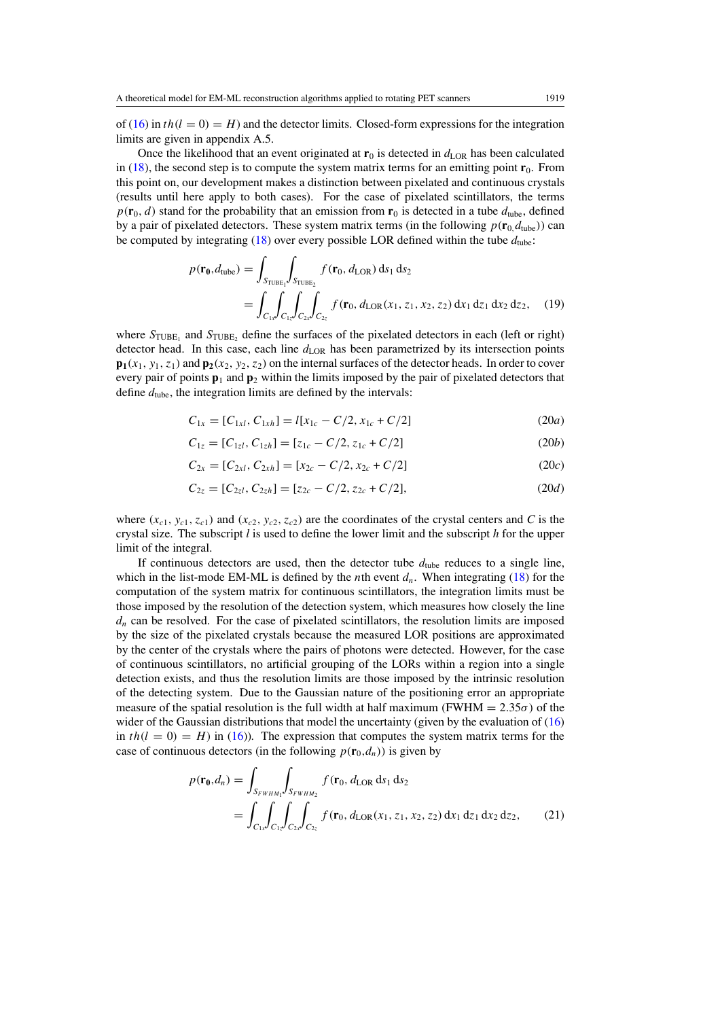<span id="page-11-0"></span>of [\(16\)](#page-10-0) in  $th(l = 0) = H$ ) and the detector limits. Closed-form expressions for the integration limits are given in appendix A.5.

Once the likelihood that an event originated at  $\mathbf{r}_0$  is detected in  $d_{\text{LOR}}$  has been calculated in  $(18)$ , the second step is to compute the system matrix terms for an emitting point  $\mathbf{r}_0$ . From this point on, our development makes a distinction between pixelated and continuous crystals (results until here apply to both cases). For the case of pixelated scintillators, the terms  $p(\mathbf{r}_0, d)$  stand for the probability that an emission from  $\mathbf{r}_0$  is detected in a tube  $d_{\text{tube}}$ , defined by a pair of pixelated detectors. These system matrix terms (in the following  $p(\mathbf{r}_0, d_{\text{tube}})$ ) can be computed by integrating [\(18\)](#page-10-0) over every possible LOR defined within the tube  $d_{\text{tube}}$ :

$$
p(\mathbf{r_0}, d_{\text{tube}}) = \int_{S_{\text{TUBE}_1}} \int_{S_{\text{TUBE}_2}} f(\mathbf{r}_0, d_{\text{LOR}}) \, \text{d} s_1 \, \text{d} s_2
$$
  
= 
$$
\int_{C_{1x}} \int_{C_{1z}} \int_{C_{2x}} \int_{C_{2z}} f(\mathbf{r}_0, d_{\text{LOR}}(x_1, z_1, x_2, z_2) \, \text{d} x_1 \, \text{d} z_1 \, \text{d} x_2 \, \text{d} z_2, \quad (19)
$$

where  $S_{\text{TUBE}_1}$  and  $S_{\text{TUBE}_2}$  define the surfaces of the pixelated detectors in each (left or right) detector head. In this case, each line  $d_{\text{LOR}}$  has been parametrized by its intersection points  $\mathbf{p}_1(x_1, y_1, z_1)$  and  $\mathbf{p}_2(x_2, y_2, z_2)$  on the internal surfaces of the detector heads. In order to cover every pair of points  $\mathbf{p}_1$  and  $\mathbf{p}_2$  within the limits imposed by the pair of pixelated detectors that define  $d_{\text{tube}}$ , the integration limits are defined by the intervals:

$$
C_{1x} = [C_{1x}, C_{1xh}] = l[x_{1c} - C/2, x_{1c} + C/2]
$$
\n(20*a*)

$$
C_{1z} = [C_{1z}, C_{1zh}] = [z_{1c} - C/2, z_{1c} + C/2]
$$
 (20*b*)

$$
C_{2x} = [C_{2x}, C_{2xh}] = [x_{2c} - C/2, x_{2c} + C/2]
$$
\n(20*c*)

$$
C_{2z} = [C_{2z}, C_{2zh}] = [z_{2c} - C/2, z_{2c} + C/2],
$$
\n(20*d*)

where  $(x_{c1}, y_{c1}, z_{c1})$  and  $(x_{c2}, y_{c2}, z_{c2})$  are the coordinates of the crystal centers and *C* is the crystal size. The subscript *l* is used to define the lower limit and the subscript *h* for the upper limit of the integral.

If continuous detectors are used, then the detector tube  $d_{\text{tube}}$  reduces to a single line, which in the list-mode EM-ML is defined by the *n*th event  $d_n$ . When integrating [\(18\)](#page-10-0) for the computation of the system matrix for continuous scintillators, the integration limits must be those imposed by the resolution of the detection system, which measures how closely the line  $d_n$  can be resolved. For the case of pixelated scintillators, the resolution limits are imposed by the size of the pixelated crystals because the measured LOR positions are approximated by the center of the crystals where the pairs of photons were detected. However, for the case of continuous scintillators, no artificial grouping of the LORs within a region into a single detection exists, and thus the resolution limits are those imposed by the intrinsic resolution of the detecting system. Due to the Gaussian nature of the positioning error an appropriate measure of the spatial resolution is the full width at half maximum *(FWHM =*  $2.35\sigma$ *)* of the wider of the Gaussian distributions that model the uncertainty (given by the evaluation of [\(16\)](#page-10-0) in  $th(l = 0) = H$ ) in [\(16\)](#page-10-0)). The expression that computes the system matrix terms for the case of continuous detectors (in the following  $p(\mathbf{r}_0, d_n)$ ) is given by

$$
p(\mathbf{r_0}, d_n) = \int_{S_{FWHM_1}} \int_{S_{FWHM_2}} f(\mathbf{r_0}, d_{\text{LOR}} \, ds_1 \, ds_2)
$$
  
= 
$$
\int_{C_{1x}} \int_{C_{1z}} \int_{C_{2x}} \int_{C_{2z}} f(\mathbf{r_0}, d_{\text{LOR}}(x_1, z_1, x_2, z_2) \, dx_1 \, dz_1 \, dx_2 \, dz_2,
$$
 (21)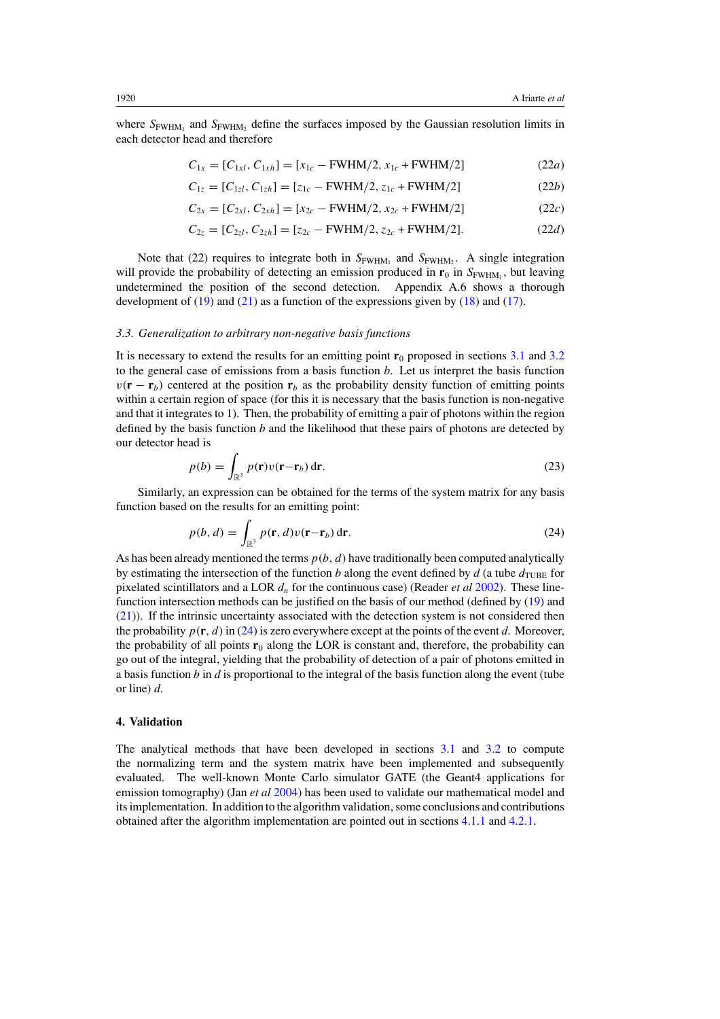<span id="page-12-0"></span>where  $S_{\text{FWHM}_1}$  and  $S_{\text{FWHM}_2}$  define the surfaces imposed by the Gaussian resolution limits in each detector head and therefore

$$
C_{1x} = [C_{1x}, C_{1xh}] = [x_{1c} - FWHM/2, x_{1c} + FWHM/2]
$$
 (22*a*)

$$
C_{1z} = [C_{1z}, C_{1zh}] = [z_{1c} - FWHM/2, z_{1c} + FWHM/2]
$$
 (22*b*)

$$
C_{2x} = [C_{2xl}, C_{2xh}] = [x_{2c} - FWHM/2, x_{2c} + FWHM/2]
$$
 (22*c*)

$$
C_{2z} = [C_{2z}, C_{2zh}] = [z_{2c} - FWHM/2, z_{2c} + FWHM/2].
$$
 (22*d*)

Note that (22) requires to integrate both in  $S_{\text{FWHM}_1}$  and  $S_{\text{FWHM}_2}$ . A single integration will provide the probability of detecting an emission produced in  $\mathbf{r}_0$  in  $S_{\text{FWHM}_1}$ , but leaving undetermined the position of the second detection. Appendix A.6 shows a thorough development of  $(19)$  and  $(21)$  as a function of the expressions given by  $(18)$  and  $(17)$ .

#### *3.3. Generalization to arbitrary non-negative basis functions*

It is necessary to extend the results for an emitting point  $\mathbf{r}_0$  proposed in sections [3.1](#page-4-0) and [3.2](#page-6-0) to the general case of emissions from a basis function *b*. Let us interpret the basis function  $v(\mathbf{r} - \mathbf{r}_b)$  centered at the position  $\mathbf{r}_b$  as the probability density function of emitting points within a certain region of space (for this it is necessary that the basis function is non-negative and that it integrates to 1). Then, the probability of emitting a pair of photons within the region defined by the basis function *b* and the likelihood that these pairs of photons are detected by our detector head is

$$
p(b) = \int_{\mathbb{R}^3} p(\mathbf{r}) v(\mathbf{r} - \mathbf{r}_b) \, \mathrm{d}\mathbf{r}.\tag{23}
$$

Similarly, an expression can be obtained for the terms of the system matrix for any basis function based on the results for an emitting point:

$$
p(b,d) = \int_{\mathbb{R}^3} p(\mathbf{r}, d) v(\mathbf{r} - \mathbf{r}_b) d\mathbf{r}.
$$
 (24)

As has been already mentioned the terms *p(b,d)* have traditionally been computed analytically by estimating the intersection of the function *b* along the event defined by *d* (a tube  $d_{\text{TUBE}}$  for pixelated scintillators and a LOR *dn* for the continuous case) (Reader *et al* [2002\)](#page-26-0). These linefunction intersection methods can be justified on the basis of our method (defined by [\(19\)](#page-11-0) and [\(21\)](#page-11-0)). If the intrinsic uncertainty associated with the detection system is not considered then the probability  $p(\mathbf{r}, d)$  in (24) is zero everywhere except at the points of the event *d*. Moreover, the probability of all points  $\mathbf{r}_0$  along the LOR is constant and, therefore, the probability can go out of the integral, yielding that the probability of detection of a pair of photons emitted in a basis function *b* in *d* is proportional to the integral of the basis function along the event (tube or line) *d*.

## **4. Validation**

The analytical methods that have been developed in sections [3.1](#page-4-0) and [3.2](#page-6-0) to compute the normalizing term and the system matrix have been implemented and subsequently evaluated. The well-known Monte Carlo simulator GATE (the Geant4 applications for emission tomography) (Jan *et al* [2004](#page-26-0)) has been used to validate our mathematical model and its implementation. In addition to the algorithm validation, some conclusions and contributions obtained after the algorithm implementation are pointed out in sections [4.1.1](#page-13-0) and [4.2.1.](#page-16-0)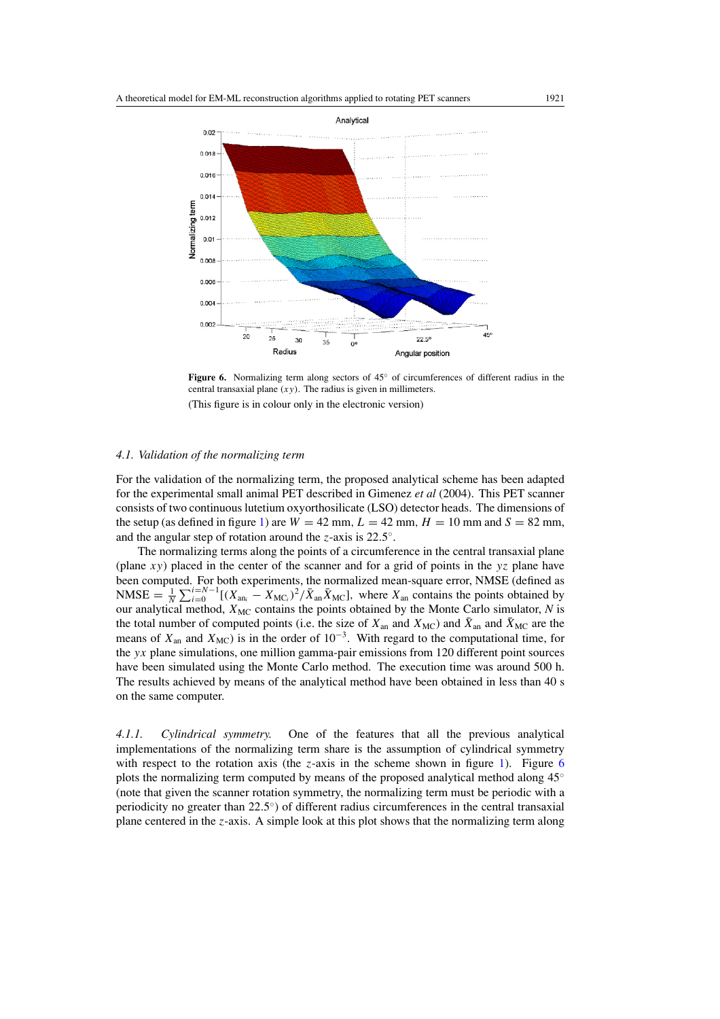<span id="page-13-0"></span>

**Figure 6.** Normalizing term along sectors of 45◦ of circumferences of different radius in the central transaxial plane *(xy)*. The radius is given in millimeters. (This figure is in colour only in the electronic version)

# *4.1. Validation of the normalizing term*

For the validation of the normalizing term, the proposed analytical scheme has been adapted for the experimental small animal PET described in Gimenez *et al* (2004). This PET scanner consists of two continuous lutetium oxyorthosilicate (LSO) detector heads. The dimensions of the setup (as defined in figure [1\)](#page-5-0) are  $W = 42$  mm,  $L = 42$  mm,  $H = 10$  mm and  $S = 82$  mm, and the angular step of rotation around the *z*-axis is 22*.*5◦.

The normalizing terms along the points of a circumference in the central transaxial plane (plane *xy*) placed in the center of the scanner and for a grid of points in the *yz* plane have been computed. For both experiments, the normalized mean-square error, NMSE (defined as  $NMSE = \frac{1}{N} \sum_{i=0}^{N-1} [(X_{an_i} - X_{MC_i})^2 / \bar{X}_{an} \bar{X}_{MC}]$ , where  $X_{an}$  contains the points obtained by our analytical method,  $X_{MC}$  contains the points obtained by the Monte Carlo simulator,  $N$  is the total number of computed points (i.e. the size of  $X_{an}$  and  $\bar{X}_{MC}$ ) and  $\bar{X}_{MC}$  are the means of  $X_{\text{an}}$  and  $X_{\text{MC}}$ ) is in the order of 10<sup>-3</sup>. With regard to the computational time, for the *yx* plane simulations, one million gamma-pair emissions from 120 different point sources have been simulated using the Monte Carlo method. The execution time was around 500 h. The results achieved by means of the analytical method have been obtained in less than 40 s on the same computer.

*4.1.1. Cylindrical symmetry.* One of the features that all the previous analytical implementations of the normalizing term share is the assumption of cylindrical symmetry with respect to the rotation axis (the  $z$ -axis in the scheme shown in figure [1\)](#page-5-0). Figure 6 plots the normalizing term computed by means of the proposed analytical method along 45◦ (note that given the scanner rotation symmetry, the normalizing term must be periodic with a periodicity no greater than 22*.*5◦) of different radius circumferences in the central transaxial plane centered in the *z*-axis. A simple look at this plot shows that the normalizing term along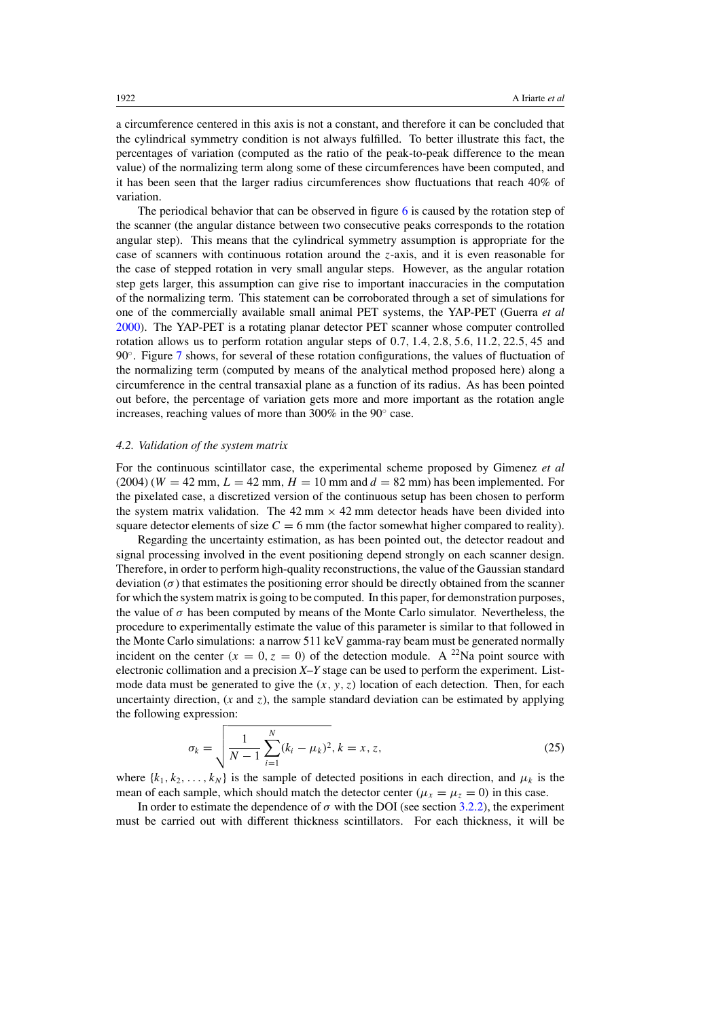<span id="page-14-0"></span>a circumference centered in this axis is not a constant, and therefore it can be concluded that the cylindrical symmetry condition is not always fulfilled. To better illustrate this fact, the percentages of variation (computed as the ratio of the peak-to-peak difference to the mean value) of the normalizing term along some of these circumferences have been computed, and it has been seen that the larger radius circumferences show fluctuations that reach 40% of variation.

The periodical behavior that can be observed in figure [6](#page-13-0) is caused by the rotation step of the scanner (the angular distance between two consecutive peaks corresponds to the rotation angular step). This means that the cylindrical symmetry assumption is appropriate for the case of scanners with continuous rotation around the *z*-axis, and it is even reasonable for the case of stepped rotation in very small angular steps. However, as the angular rotation step gets larger, this assumption can give rise to important inaccuracies in the computation of the normalizing term. This statement can be corroborated through a set of simulations for one of the commercially available small animal PET systems, the YAP-PET (Guerra *et al* [2000\)](#page-26-0). The YAP-PET is a rotating planar detector PET scanner whose computer controlled rotation allows us to perform rotation angular steps of 0*.*7*,* 1*.*4*,* 2*.*8*,* 5*.*6*,* 11*.*2*,* 22*.*5*,* 45 and 90◦. Figure [7](#page-15-0) shows, for several of these rotation configurations, the values of fluctuation of the normalizing term (computed by means of the analytical method proposed here) along a circumference in the central transaxial plane as a function of its radius. As has been pointed out before, the percentage of variation gets more and more important as the rotation angle increases, reaching values of more than 300% in the 90◦ case.

#### *4.2. Validation of the system matrix*

For the continuous scintillator case, the experimental scheme proposed by Gimenez *et al*  $(2004)$   $(W = 42$  mm,  $L = 42$  mm,  $H = 10$  mm and  $d = 82$  mm) has been implemented. For the pixelated case, a discretized version of the continuous setup has been chosen to perform the system matrix validation. The  $42 \text{ mm} \times 42 \text{ mm}$  detector heads have been divided into square detector elements of size  $C = 6$  mm (the factor somewhat higher compared to reality).

Regarding the uncertainty estimation, as has been pointed out, the detector readout and signal processing involved in the event positioning depend strongly on each scanner design. Therefore, in order to perform high-quality reconstructions, the value of the Gaussian standard deviation  $(\sigma)$  that estimates the positioning error should be directly obtained from the scanner for which the system matrix is going to be computed. In this paper, for demonstration purposes, the value of  $\sigma$  has been computed by means of the Monte Carlo simulator. Nevertheless, the procedure to experimentally estimate the value of this parameter is similar to that followed in the Monte Carlo simulations: a narrow 511 keV gamma-ray beam must be generated normally incident on the center  $(x = 0, z = 0)$  of the detection module. A <sup>22</sup>Na point source with electronic collimation and a precision *X–Y* stage can be used to perform the experiment. Listmode data must be generated to give the  $(x, y, z)$  location of each detection. Then, for each uncertainty direction,  $(x \text{ and } z)$ , the sample standard deviation can be estimated by applying the following expression:

$$
\sigma_k = \sqrt{\frac{1}{N-1} \sum_{i=1}^{N} (k_i - \mu_k)^2}, k = x, z,
$$
\n(25)

where  $\{k_1, k_2, \ldots, k_N\}$  is the sample of detected positions in each direction, and  $\mu_k$  is the mean of each sample, which should match the detector center  $(\mu_x = \mu_z = 0)$  in this case.

In order to estimate the dependence of  $\sigma$  with the DOI (see section [3.2.2\)](#page-9-0), the experiment must be carried out with different thickness scintillators. For each thickness, it will be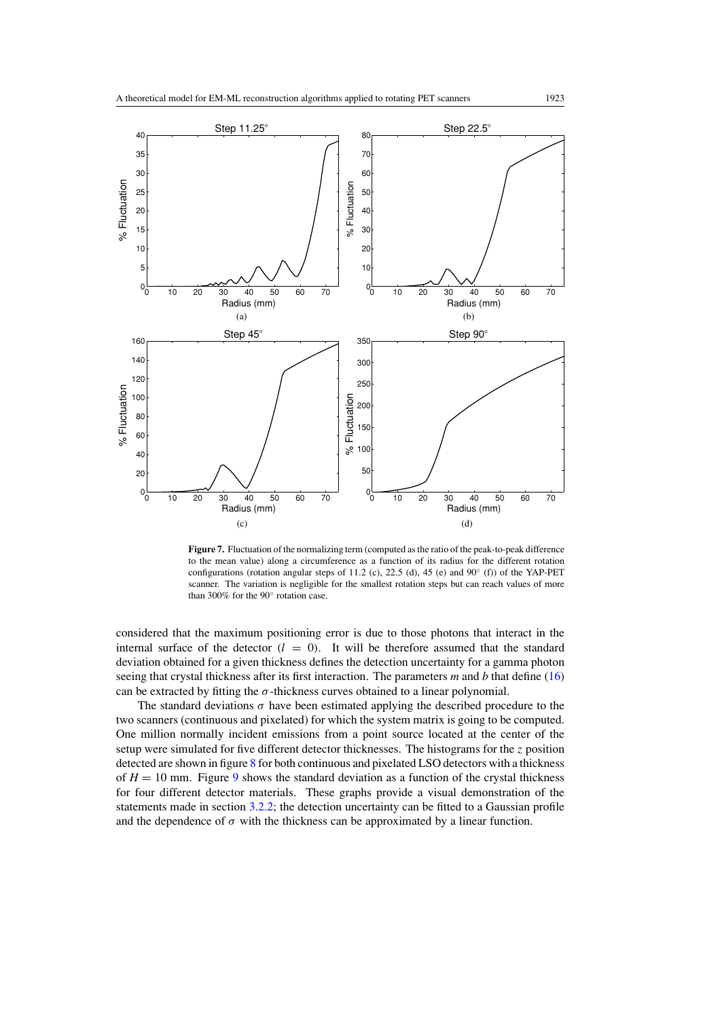<span id="page-15-0"></span>

**Figure 7.** Fluctuation of the normalizing term (computed as the ratio of the peak-to-peak difference to the mean value) along a circumference as a function of its radius for the different rotation configurations (rotation angular steps of 11*.*2 (c), 22*.*5 (d), 45 (e) and 90◦ (f)) of the YAP-PET scanner. The variation is negligible for the smallest rotation steps but can reach values of more than 300% for the 90◦ rotation case.

considered that the maximum positioning error is due to those photons that interact in the internal surface of the detector  $(l = 0)$ . It will be therefore assumed that the standard deviation obtained for a given thickness defines the detection uncertainty for a gamma photon seeing that crystal thickness after its first interaction. The parameters *m* and *b* that define [\(16\)](#page-10-0) can be extracted by fitting the *σ*-thickness curves obtained to a linear polynomial.

The standard deviations  $\sigma$  have been estimated applying the described procedure to the two scanners (continuous and pixelated) for which the system matrix is going to be computed. One million normally incident emissions from a point source located at the center of the setup were simulated for five different detector thicknesses. The histograms for the *z* position detected are shown in figure [8](#page-16-0) for both continuous and pixelated LSO detectors with a thickness of  $H = 10$  mm. Figure [9](#page-16-0) shows the standard deviation as a function of the crystal thickness for four different detector materials. These graphs provide a visual demonstration of the statements made in section [3.2.2;](#page-9-0) the detection uncertainty can be fitted to a Gaussian profile and the dependence of  $\sigma$  with the thickness can be approximated by a linear function.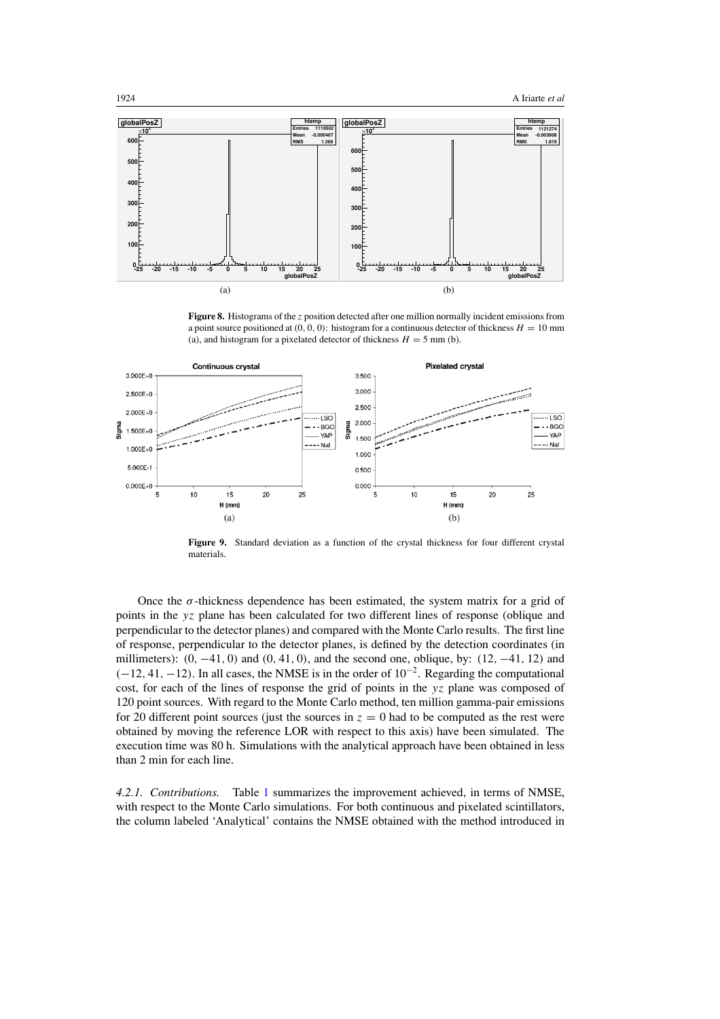<span id="page-16-0"></span>

**Figure 8.** Histograms of the *z* position detected after one million normally incident emissions from a point source positioned at  $(0, 0, 0)$ : histogram for a continuous detector of thickness  $H = 10$  mm (a), and histogram for a pixelated detector of thickness  $H = 5$  mm (b).



**Figure 9.** Standard deviation as a function of the crystal thickness for four different crystal materials.

Once the  $\sigma$ -thickness dependence has been estimated, the system matrix for a grid of points in the *yz* plane has been calculated for two different lines of response (oblique and perpendicular to the detector planes) and compared with the Monte Carlo results. The first line of response, perpendicular to the detector planes, is defined by the detection coordinates (in millimeters): *(*0*,* −41*,* 0*)* and *(*0*,* 41*,* 0*)*, and the second one, oblique, by: *(*12*,* −41*,* 12*)* and *(*−12*,* 41*,* −12*).* In all cases, the NMSE is in the order of 10<sup>−</sup>2. Regarding the computational cost, for each of the lines of response the grid of points in the *yz* plane was composed of 120 point sources. With regard to the Monte Carlo method, ten million gamma-pair emissions for 20 different point sources (just the sources in  $z = 0$  had to be computed as the rest were obtained by moving the reference LOR with respect to this axis) have been simulated. The execution time was 80 h. Simulations with the analytical approach have been obtained in less than 2 min for each line.

*4.2.1. Contributions.* Table [1](#page-17-0) summarizes the improvement achieved, in terms of NMSE, with respect to the Monte Carlo simulations. For both continuous and pixelated scintillators, the column labeled 'Analytical' contains the NMSE obtained with the method introduced in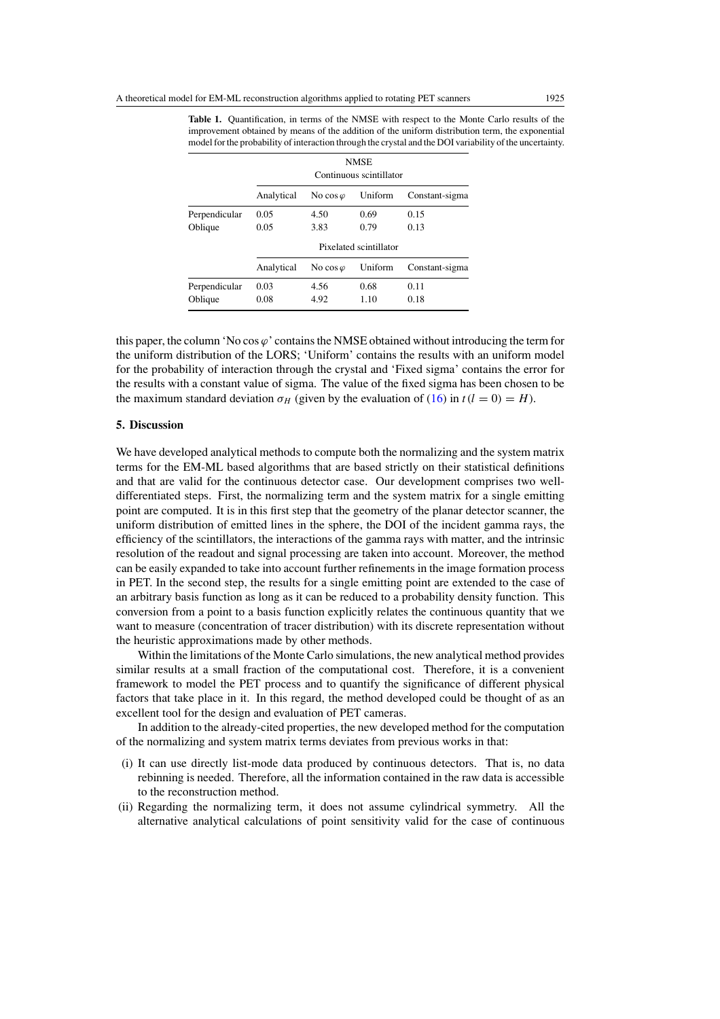|               | <b>NMSE</b><br>Continuous scintillator |                  |         |                |
|---------------|----------------------------------------|------------------|---------|----------------|
|               | Analytical                             | No cos $\varphi$ | Uniform | Constant-sigma |
| Perpendicular | 0.05                                   | 4.50             | 0.69    | 0.15           |
| Oblique       | 0.05                                   | 3.83             | 0.79    | 0.13           |
|               | Pixelated scintillator                 |                  |         |                |
|               | Analytical                             | No cos $\varphi$ | Uniform | Constant-sigma |
| Perpendicular | 0.03                                   | 4.56             | 0.68    | 0.11           |
| Oblique       | 0.08                                   | 4.92             | 1.10    | 0.18           |

<span id="page-17-0"></span>**Table 1.** Quantification, in terms of the NMSE with respect to the Monte Carlo results of the improvement obtained by means of the addition of the uniform distribution term, the exponential model for the probability of interaction through the crystal and the DOI variability of the uncertainty.

this paper, the column 'No cos  $\varphi$ ' contains the NMSE obtained without introducing the term for the uniform distribution of the LORS; 'Uniform' contains the results with an uniform model for the probability of interaction through the crystal and 'Fixed sigma' contains the error for the results with a constant value of sigma. The value of the fixed sigma has been chosen to be the maximum standard deviation  $\sigma_H$  (given by the evaluation of [\(16\)](#page-10-0) in  $t(l = 0) = H$ ).

#### **5. Discussion**

We have developed analytical methods to compute both the normalizing and the system matrix terms for the EM-ML based algorithms that are based strictly on their statistical definitions and that are valid for the continuous detector case. Our development comprises two welldifferentiated steps. First, the normalizing term and the system matrix for a single emitting point are computed. It is in this first step that the geometry of the planar detector scanner, the uniform distribution of emitted lines in the sphere, the DOI of the incident gamma rays, the efficiency of the scintillators, the interactions of the gamma rays with matter, and the intrinsic resolution of the readout and signal processing are taken into account. Moreover, the method can be easily expanded to take into account further refinements in the image formation process in PET. In the second step, the results for a single emitting point are extended to the case of an arbitrary basis function as long as it can be reduced to a probability density function. This conversion from a point to a basis function explicitly relates the continuous quantity that we want to measure (concentration of tracer distribution) with its discrete representation without the heuristic approximations made by other methods.

Within the limitations of the Monte Carlo simulations, the new analytical method provides similar results at a small fraction of the computational cost. Therefore, it is a convenient framework to model the PET process and to quantify the significance of different physical factors that take place in it. In this regard, the method developed could be thought of as an excellent tool for the design and evaluation of PET cameras.

In addition to the already-cited properties, the new developed method for the computation of the normalizing and system matrix terms deviates from previous works in that:

- (i) It can use directly list-mode data produced by continuous detectors. That is, no data rebinning is needed. Therefore, all the information contained in the raw data is accessible to the reconstruction method.
- (ii) Regarding the normalizing term, it does not assume cylindrical symmetry. All the alternative analytical calculations of point sensitivity valid for the case of continuous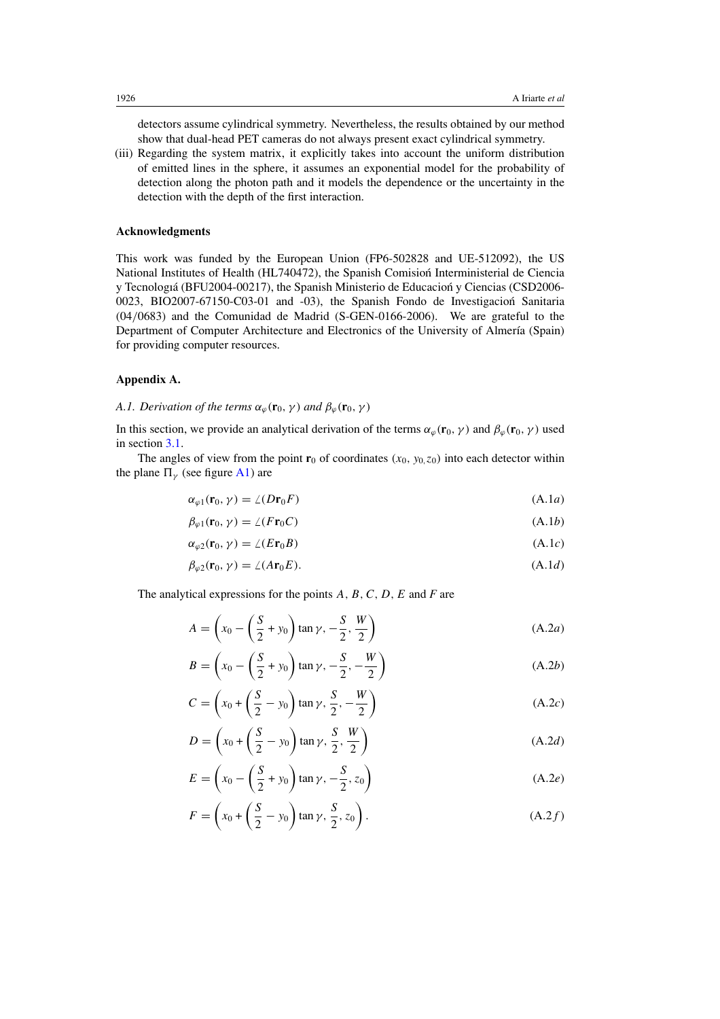detectors assume cylindrical symmetry. Nevertheless, the results obtained by our method show that dual-head PET cameras do not always present exact cylindrical symmetry.

(iii) Regarding the system matrix, it explicitly takes into account the uniform distribution of emitted lines in the sphere, it assumes an exponential model for the probability of detection along the photon path and it models the dependence or the uncertainty in the detection with the depth of the first interaction.

# **Acknowledgments**

This work was funded by the European Union (FP6-502828 and UE-512092), the US National Institutes of Health (HL740472), the Spanish Comision Interministerial de Ciencia y Tecnologiá (BFU2004-00217), the Spanish Ministerio de Educacion y Ciencias (CSD2006-0023, BIO2007-67150-C03-01 and -03), the Spanish Fondo de Investigacion Sanitaria ´ (04*/*0683) and the Comunidad de Madrid (S-GEN-0166-2006). We are grateful to the Department of Computer Architecture and Electronics of the University of Almería (Spain) for providing computer resources.

## **Appendix A.**

# *A.1. Derivation of the terms*  $\alpha_{\varphi}(\mathbf{r}_0, \gamma)$  *and*  $\beta_{\varphi}(\mathbf{r}_0, \gamma)$

In this section, we provide an analytical derivation of the terms  $\alpha_{\varphi}(\mathbf{r}_0, \gamma)$  and  $\beta_{\varphi}(\mathbf{r}_0, \gamma)$  used in section [3.1.](#page-4-0)

The angles of view from the point  $\mathbf{r}_0$  of coordinates  $(x_0, y_0, z_0)$  into each detector within the plane  $\Pi_{\nu}$  (see figure [A1\)](#page-19-0) are

$$
\alpha_{\varphi 1}(\mathbf{r}_0, \gamma) = \angle (D\mathbf{r}_0 F) \tag{A.1a}
$$

$$
\beta_{\varphi 1}(\mathbf{r}_0, \gamma) = \angle (F\mathbf{r}_0 C) \tag{A.1b}
$$

$$
\alpha_{\varphi 2}(\mathbf{r}_0, \gamma) = \angle (E\mathbf{r}_0 B) \tag{A.1c}
$$

$$
\beta_{\varphi 2}(\mathbf{r}_0, \gamma) = \angle (A\mathbf{r}_0 E). \tag{A.1d}
$$

The analytical expressions for the points *A,B,C,D,E* and *F* are

$$
A = \left(x_0 - \left(\frac{S}{2} + y_0\right)\tan\gamma, -\frac{S}{2}, \frac{W}{2}\right)
$$
 (A.2*a*)

$$
B = \left(x_0 - \left(\frac{S}{2} + y_0\right)\tan\gamma, -\frac{S}{2}, -\frac{W}{2}\right)
$$
\n(A.2b)

$$
C = \left(x_0 + \left(\frac{S}{2} - y_0\right)\tan\gamma, \frac{S}{2}, -\frac{W}{2}\right)
$$
 (A.2*c*)

$$
D = \left(x_0 + \left(\frac{S}{2} - y_0\right)\tan\gamma, \frac{S}{2}, \frac{W}{2}\right)
$$
 (A.2*d*)

$$
E = \left(x_0 - \left(\frac{S}{2} + y_0\right)\tan\gamma, -\frac{S}{2}, z_0\right)
$$
 (A.2*e*)

$$
F = \left(x_0 + \left(\frac{S}{2} - y_0\right)\tan\gamma, \frac{S}{2}, z_0\right). \tag{A.2f}
$$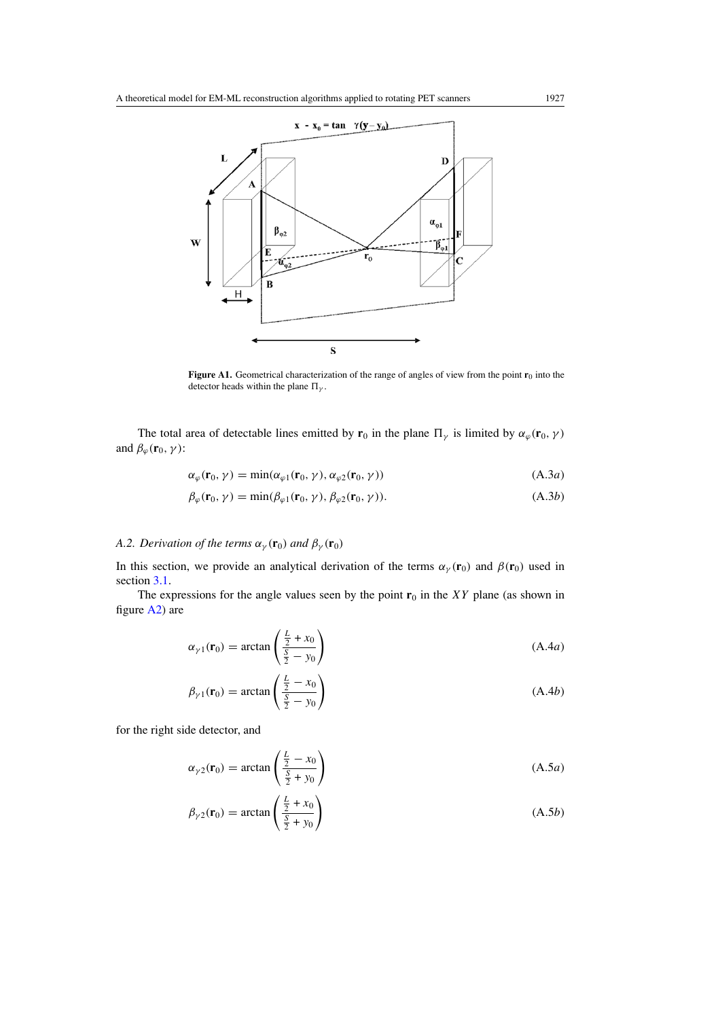<span id="page-19-0"></span>

**Figure A1.** Geometrical characterization of the range of angles of view from the point **r**<sub>0</sub> into the detector heads within the plane  $\Pi_{\gamma}$ .

The total area of detectable lines emitted by  $\mathbf{r}_0$  in the plane  $\Pi_\gamma$  is limited by  $\alpha_\varphi(\mathbf{r}_0, \gamma)$ and  $\beta_{\varphi}(\mathbf{r}_0, \gamma)$ :

$$
\alpha_{\varphi}(\mathbf{r}_0, \gamma) = \min(\alpha_{\varphi 1}(\mathbf{r}_0, \gamma), \alpha_{\varphi 2}(\mathbf{r}_0, \gamma))
$$
\n(A.3a)

$$
\beta_{\varphi}(\mathbf{r}_0, \gamma) = \min(\beta_{\varphi 1}(\mathbf{r}_0, \gamma), \beta_{\varphi 2}(\mathbf{r}_0, \gamma)).
$$
\n(A.3b)

# *A.2. Derivation of the terms*  $\alpha_{\gamma}(\mathbf{r}_0)$  *and*  $\beta_{\gamma}(\mathbf{r}_0)$

In this section, we provide an analytical derivation of the terms  $\alpha_{\gamma}(\mathbf{r}_0)$  and  $\beta(\mathbf{r}_0)$  used in section [3.1.](#page-4-0)

The expressions for the angle values seen by the point  $\mathbf{r}_0$  in the *XY* plane (as shown in figure [A2\)](#page-20-0) are

$$
\alpha_{\gamma 1}(\mathbf{r}_0) = \arctan\left(\frac{\frac{L}{2} + x_0}{\frac{S}{2} - y_0}\right) \tag{A.4a}
$$

$$
\beta_{\gamma 1}(\mathbf{r}_0) = \arctan\left(\frac{\frac{L}{2} - x_0}{\frac{S}{2} - y_0}\right) \tag{A.4b}
$$

for the right side detector, and

$$
\alpha_{\gamma 2}(\mathbf{r}_0) = \arctan\left(\frac{\frac{L}{2} - x_0}{\frac{S}{2} + y_0}\right) \tag{A.5a}
$$

$$
\beta_{\gamma 2}(\mathbf{r}_0) = \arctan\left(\frac{\frac{L}{2} + x_0}{\frac{S}{2} + y_0}\right) \tag{A.5b}
$$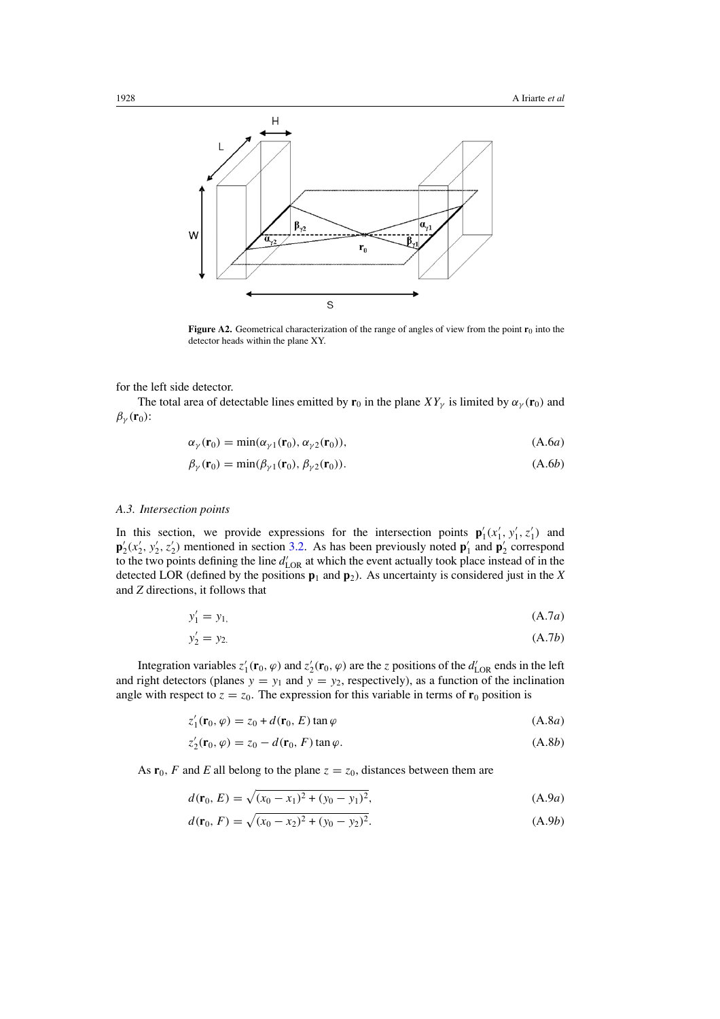<span id="page-20-0"></span>

**Figure A2.** Geometrical characterization of the range of angles of view from the point  $\mathbf{r}_0$  into the detector heads within the plane XY.

for the left side detector.

The total area of detectable lines emitted by  $\mathbf{r}_0$  in the plane  $XY_\gamma$  is limited by  $\alpha_\gamma(\mathbf{r}_0)$  and  $\beta_{\gamma}(\mathbf{r}_0)$ :

$$
\alpha_{\gamma}(\mathbf{r}_0) = \min(\alpha_{\gamma 1}(\mathbf{r}_0), \alpha_{\gamma 2}(\mathbf{r}_0)),\tag{A.6a}
$$

$$
\beta_{\gamma}(\mathbf{r}_0) = \min(\beta_{\gamma 1}(\mathbf{r}_0), \beta_{\gamma 2}(\mathbf{r}_0)).
$$
\n(A.6b)

# *A.3. Intersection points*

In this section, we provide expressions for the intersection points  $\mathbf{p}'_1(x'_1, y'_1, z'_1)$  and  $\mathbf{p}'_2(x'_2, y'_2, z'_2)$  mentioned in section [3.2.](#page-6-0) As has been previously noted  $\mathbf{p}'_1$  and  $\mathbf{p}'_2$  correspond to the two points defining the line  $d'_{\text{LOR}}$  at which the event actually took place instead of in the detected LOR (defined by the positions  $\mathbf{p}_1$  and  $\mathbf{p}_2$ ). As uncertainty is considered just in the *X* and *Z* directions, it follows that

$$
y_1' = y_1,\tag{A.7a}
$$

$$
y_2' = y_2 \tag{A.7b}
$$

Integration variables  $z'_1$  ( $\mathbf{r}_0$ ,  $\varphi$ ) and  $z'_2$  ( $\mathbf{r}_0$ ,  $\varphi$ ) are the *z* positions of the  $d'_{LOR}$  ends in the left and right detectors (planes  $y = y_1$  and  $y = y_2$ , respectively), as a function of the inclination angle with respect to  $z = z_0$ . The expression for this variable in terms of  $r_0$  position is

$$
z_1'(\mathbf{r}_0, \varphi) = z_0 + d(\mathbf{r}_0, E) \tan \varphi \tag{A.8a}
$$

$$
z'_{2}(\mathbf{r}_{0}, \varphi) = z_{0} - d(\mathbf{r}_{0}, F) \tan \varphi.
$$
 (A.8b)

As  $\mathbf{r}_0$ , F and E all belong to the plane  $z = z_0$ , distances between them are

$$
d(\mathbf{r}_0, E) = \sqrt{(x_0 - x_1)^2 + (y_0 - y_1)^2},
$$
 (A.9*a*)

$$
d(\mathbf{r}_0, F) = \sqrt{(x_0 - x_2)^2 + (y_0 - y_2)^2}.
$$
 (A.9b)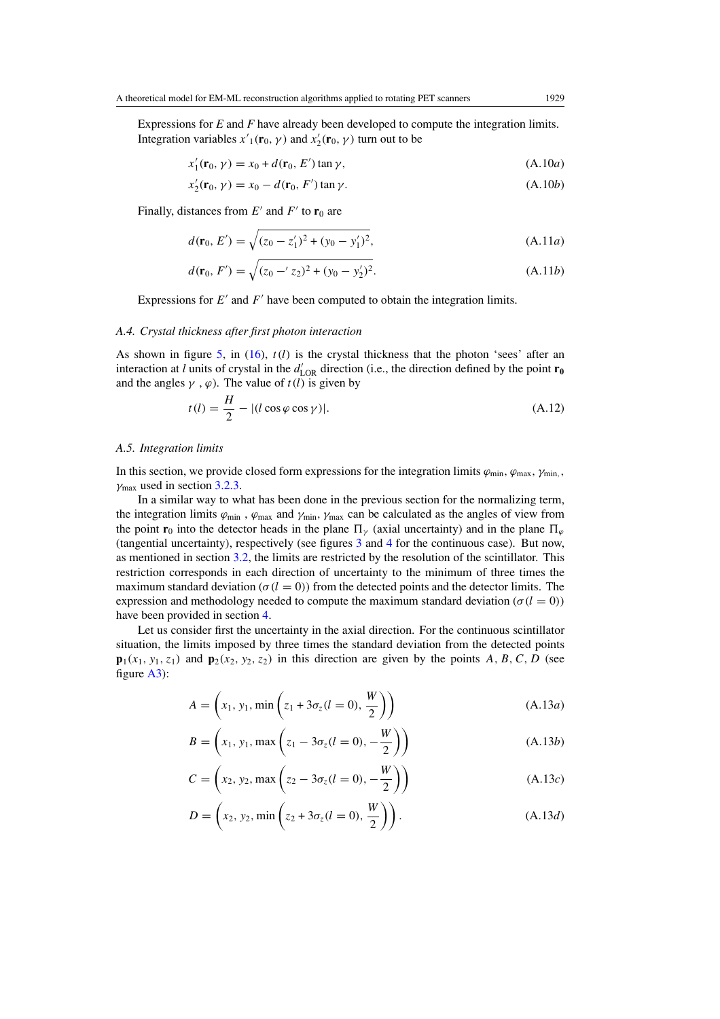Expressions for *E* and *F* have already been developed to compute the integration limits. Integration variables  $x'_{1}(\mathbf{r}_{0}, \gamma)$  and  $x'_{2}(\mathbf{r}_{0}, \gamma)$  turn out to be

 $x'_1(\mathbf{r}_0, \gamma) = x_0 + d(\mathbf{r}_0, E') \tan \gamma,$  (A*.*10*a*)

$$
x_2'(\mathbf{r}_0, \gamma) = x_0 - d(\mathbf{r}_0, F') \tan \gamma.
$$
 (A.10b)

Finally, distances from  $E'$  and  $F'$  to  $\mathbf{r}_0$  are

$$
d(\mathbf{r}_0, E') = \sqrt{(z_0 - z'_1)^2 + (y_0 - y'_1)^2},
$$
\n(A.11*a*)

$$
d(\mathbf{r}_0, F') = \sqrt{(z_0 - 'z_2)^2 + (y_0 - y_2')^2}.
$$
 (A.11b)

Expressions for  $E'$  and  $F'$  have been computed to obtain the integration limits.

#### *A.4. Crystal thickness after first photon interaction*

As shown in figure [5,](#page-9-0) in [\(16\)](#page-10-0), *t(l)* is the crystal thickness that the photon 'sees' after an interaction at *l* units of crystal in the  $d'_{\text{LOR}}$  direction (i.e., the direction defined by the point  $\mathbf{r}_0$ and the angles  $\gamma$ ,  $\varphi$ ). The value of  $t(l)$  is given by

$$
t(l) = \frac{H}{2} - |(l\cos\varphi\cos\gamma)|. \tag{A.12}
$$

#### *A.5. Integration limits*

In this section, we provide closed form expressions for the integration limits  $\varphi_{\min}$ ,  $\varphi_{\max}$ ,  $\gamma_{\min}$ , *γ*max used in section [3.2.3.](#page-10-0)

In a similar way to what has been done in the previous section for the normalizing term, the integration limits  $\varphi_{\text{min}}$ ,  $\varphi_{\text{max}}$  and  $\gamma_{\text{min}}$ ,  $\gamma_{\text{max}}$  can be calculated as the angles of view from the point **r**<sub>0</sub> into the detector heads in the plane  $\Pi_{\nu}$  (axial uncertainty) and in the plane  $\Pi_{\nu}$ (tangential uncertainty), respectively (see figures [3](#page-7-0) and [4](#page-8-0) for the continuous case). But now, as mentioned in section [3.2,](#page-6-0) the limits are restricted by the resolution of the scintillator. This restriction corresponds in each direction of uncertainty to the minimum of three times the maximum standard deviation ( $\sigma(l = 0)$ ) from the detected points and the detector limits. The expression and methodology needed to compute the maximum standard deviation ( $\sigma(l = 0)$ ) have been provided in section [4.](#page-12-0)

Let us consider first the uncertainty in the axial direction. For the continuous scintillator situation, the limits imposed by three times the standard deviation from the detected points  $\mathbf{p}_1(x_1, y_1, z_1)$  and  $\mathbf{p}_2(x_2, y_2, z_2)$  in this direction are given by the points *A, B, C, D* (see figure [A3\)](#page-22-0):

$$
A = \left(x_1, y_1, \min\left(z_1 + 3\sigma_z(l=0), \frac{W}{2}\right)\right)
$$
 (A.13*a*)

$$
B = \left(x_1, y_1, \max\left(z_1 - 3\sigma_z(l=0), -\frac{W}{2}\right)\right)
$$
 (A.13*b*)

$$
C = \left(x_2, y_2, \max\left(z_2 - 3\sigma_z(l=0), -\frac{W}{2}\right)\right)
$$
 (A.13*c*)

$$
D = \left(x_2, y_2, \min\left(z_2 + 3\sigma_z(l=0), \frac{W}{2}\right)\right).
$$
 (A.13*d*)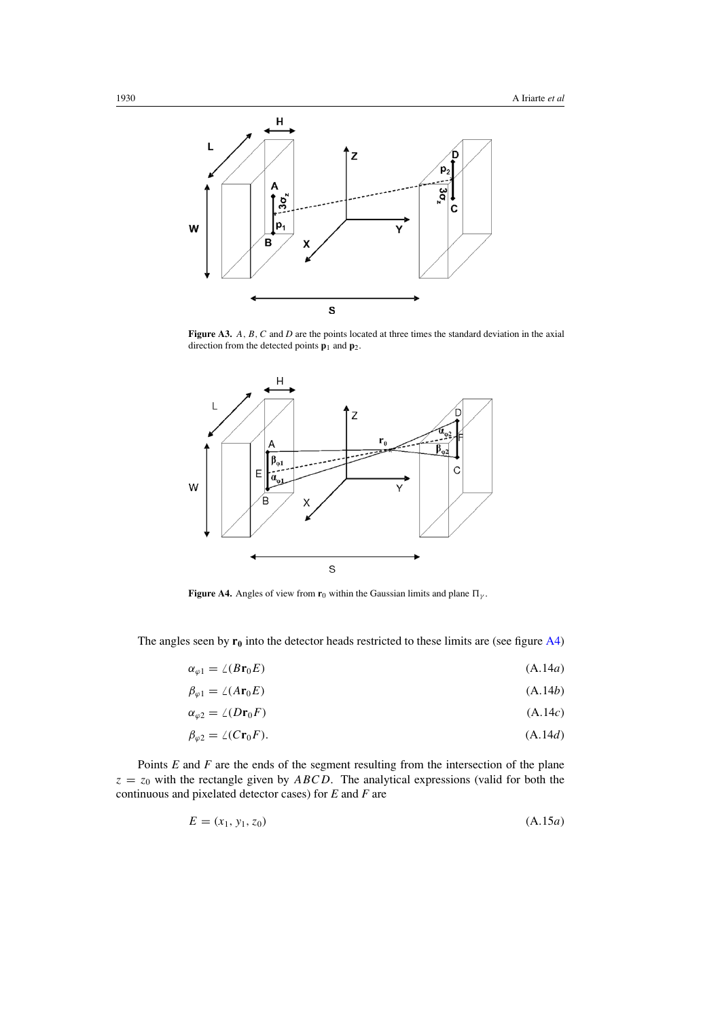<span id="page-22-0"></span>

Figure A3. A, B, C and D are the points located at three times the standard deviation in the axial direction from the detected points  $\mathbf{p}_1$  and  $\mathbf{p}_2$ .



**Figure A4.** Angles of view from  $\mathbf{r}_0$  within the Gaussian limits and plane  $\Pi_{\gamma}$ .

The angles seen by  $\mathbf{r}_0$  into the detector heads restricted to these limits are (see figure A4)

$$
\alpha_{\varphi 1} = \angle (Br_0E) \tag{A.14a}
$$

$$
\beta_{\varphi 1} = \angle (A \mathbf{r}_0 E) \tag{A.14b}
$$

$$
\alpha_{\varphi 2} = \angle (D\mathbf{r}_0 F) \tag{A.14c}
$$

$$
\beta_{\varphi 2} = \angle(C\mathbf{r}_0 F). \tag{A.14d}
$$

Points *E* and *F* are the ends of the segment resulting from the intersection of the plane  $z = z_0$  with the rectangle given by *ABCD*. The analytical expressions (valid for both the continuous and pixelated detector cases) for *E* and *F* are

$$
E = (x_1, y_1, z_0) \tag{A.15a}
$$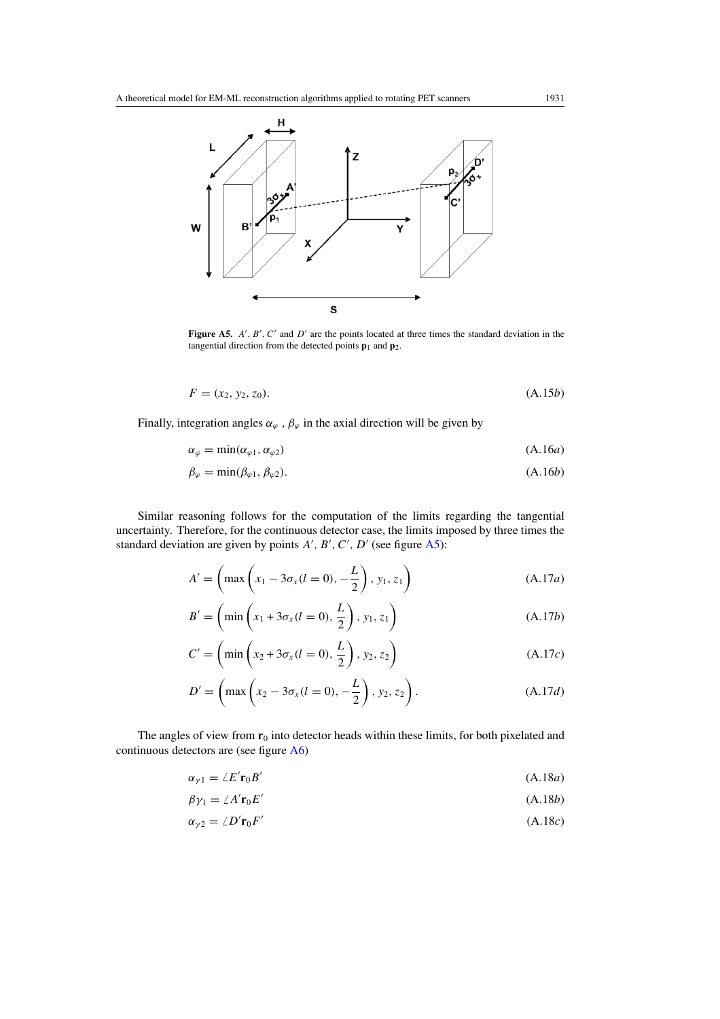

**Figure A5.**  $A'$ ,  $B'$ ,  $C'$  and  $D'$  are the points located at three times the standard deviation in the tangential direction from the detected points  $\mathbf{p}_1$  and  $\mathbf{p}_2$ .

$$
F = (x_2, y_2, z_0). \tag{A.15b}
$$

Finally, integration angles  $\alpha_{\varphi}$ ,  $\beta_{\varphi}$  in the axial direction will be given by

$$
\alpha_{\varphi} = \min(\alpha_{\varphi 1}, \alpha_{\varphi 2}) \tag{A.16a}
$$

$$
\beta_{\varphi} = \min(\beta_{\varphi 1}, \beta_{\varphi 2}). \tag{A.16b}
$$

Similar reasoning follows for the computation of the limits regarding the tangential uncertainty. Therefore, for the continuous detector case, the limits imposed by three times the standard deviation are given by points  $A'$ ,  $B'$ ,  $C'$ ,  $D'$  (see figure A5):

$$
A' = \left(\max\left(x_1 - 3\sigma_x(l=0), -\frac{L}{2}\right), y_1, z_1\right)
$$
\n(A.17*a*)

$$
B' = \left(\min\left(x_1 + 3\sigma_x(l=0), \frac{L}{2}\right), y_1, z_1\right) \tag{A.17b}
$$

$$
C' = \left(\min\left(x_2 + 3\sigma_x(l=0), \frac{L}{2}\right), y_2, z_2\right) \tag{A.17c}
$$

$$
D' = \left( \max \left( x_2 - 3\sigma_x (l = 0), -\frac{L}{2} \right), y_2, z_2 \right). \tag{A.17d}
$$

The angles of view from  $r_0$  into detector heads within these limits, for both pixelated and continuous detectors are (see figure [A6\)](#page-24-0)

$$
\alpha_{\gamma 1} = \angle E' \mathbf{r}_0 B' \tag{A.18a}
$$

$$
\beta \gamma_1 = \angle A' \mathbf{r}_0 E' \tag{A.18b}
$$

$$
\alpha_{\gamma 2} = \angle D' \mathbf{r}_0 F' \tag{A.18c}
$$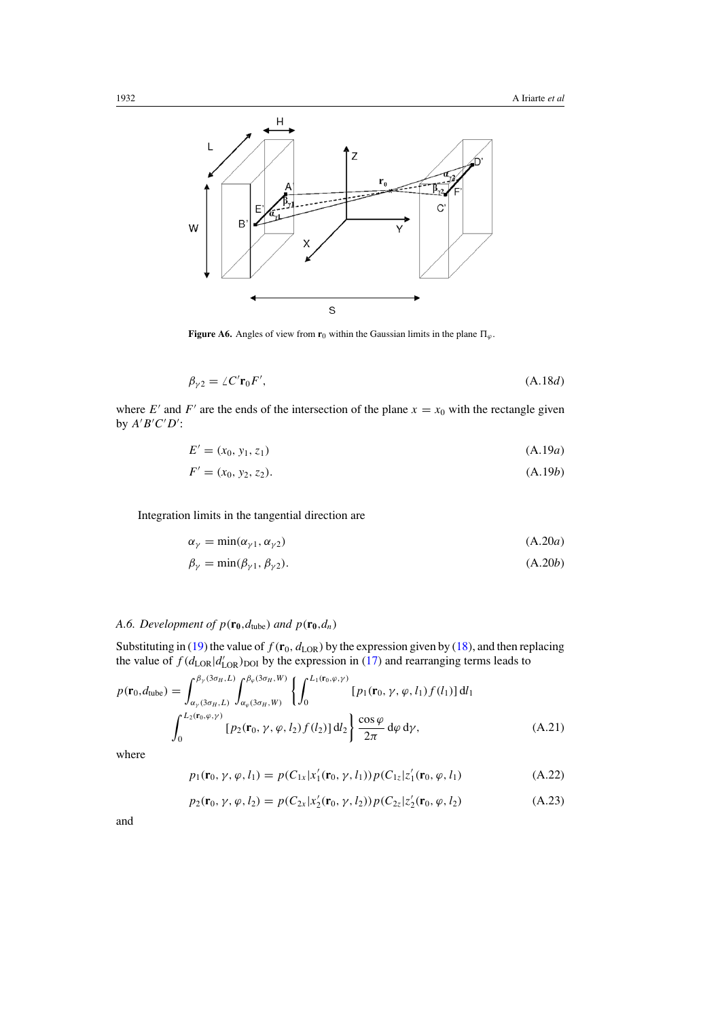<span id="page-24-0"></span>

**Figure A6.** Angles of view from  $\mathbf{r}_0$  within the Gaussian limits in the plane  $\Pi_{\varphi}$ .

$$
\beta_{\gamma 2} = \angle C' \mathbf{r}_0 F',\tag{A.18d}
$$

where  $E'$  and  $F'$  are the ends of the intersection of the plane  $x = x_0$  with the rectangle given by  $A'B'C'D'$ :

$$
E' = (x_0, y_1, z_1) \tag{A.19a}
$$

$$
F' = (x_0, y_2, z_2). \tag{A.19b}
$$

Integration limits in the tangential direction are

$$
\alpha_{\gamma} = \min(\alpha_{\gamma 1}, \alpha_{\gamma 2})
$$
\n(A.20*a*)

$$
\beta_{\gamma} = \min(\beta_{\gamma 1}, \beta_{\gamma 2}). \tag{A.20b}
$$

# *A.6. Development of*  $p(\mathbf{r_0}, d_{\text{tube}})$  *and*  $p(\mathbf{r_0}, d_n)$

Substituting in [\(19\)](#page-11-0) the value of  $f(\mathbf{r}_0, d_{\text{LOR}})$  by the expression given by [\(18\)](#page-10-0), and then replacing the value of  $f(d_{\text{LOR}}|d'_{\text{LOR}})_{\text{DOI}}$  by the expression in [\(17\)](#page-10-0) and rearranging terms leads to

$$
p(\mathbf{r}_0, d_{\text{tube}}) = \int_{\alpha_{\gamma}(3\sigma_H, L)}^{\beta_{\gamma}(3\sigma_H, L)} \int_{\alpha_{\varphi}(3\sigma_H, W)}^{\beta_{\varphi}(3\sigma_H, W)} \left\{ \int_0^{L_1(\mathbf{r}_0, \varphi, \gamma)} [p_1(\mathbf{r}_0, \gamma, \varphi, l_1) f(l_1)] \, \mathrm{d}l_1 \right\}
$$

$$
\int_0^{L_2(\mathbf{r}_0, \varphi, \gamma)} [p_2(\mathbf{r}_0, \gamma, \varphi, l_2) f(l_2)] \, \mathrm{d}l_2 \right\} \frac{\cos \varphi}{2\pi} \, \mathrm{d}\varphi \, \mathrm{d}\gamma, \tag{A.21}
$$

where

$$
p_1(\mathbf{r}_0, \gamma, \varphi, l_1) = p(C_{1x} | x_1'(\mathbf{r}_0, \gamma, l_1)) p(C_{1z} | z_1'(\mathbf{r}_0, \varphi, l_1)
$$
(A.22)

$$
p_2(\mathbf{r}_0, \gamma, \varphi, l_2) = p(C_{2x} | x_2'(\mathbf{r}_0, \gamma, l_2)) p(C_{2z} | z_2'(\mathbf{r}_0, \varphi, l_2)
$$
(A.23)

and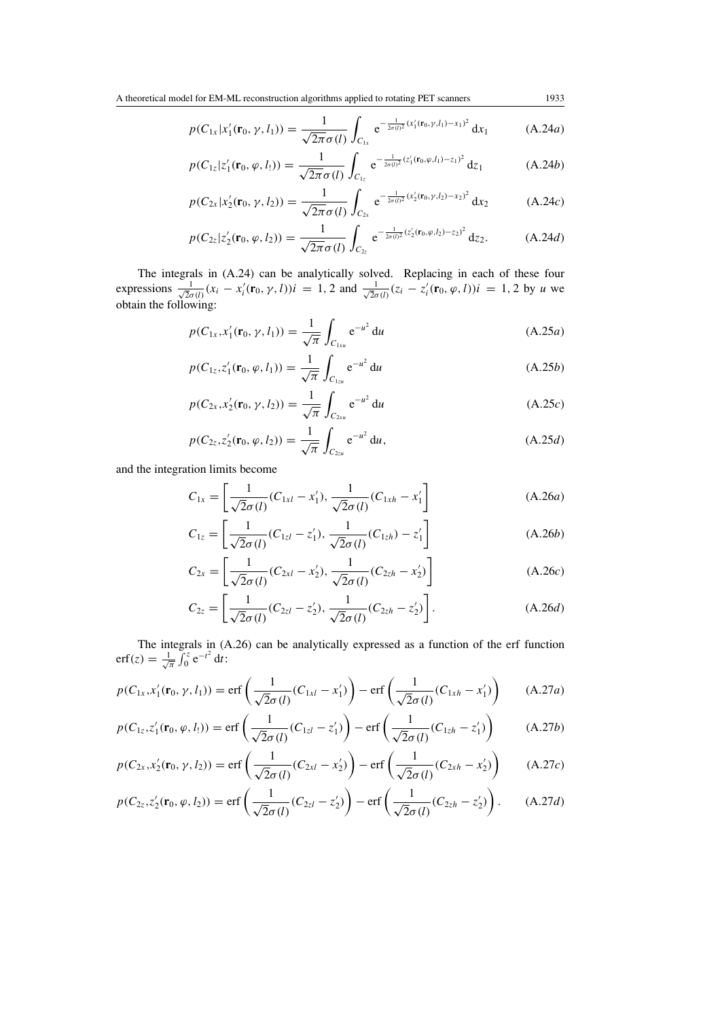$$
p(C_{1x}|x'_1(\mathbf{r}_0,\gamma,l_1)) = \frac{1}{\sqrt{2\pi}\sigma(l)} \int_{C_{1x}} e^{-\frac{1}{2\sigma(l)^2}(x'_1(\mathbf{r}_0,\gamma,l_1)-x_1)^2} dx_1 \tag{A.24a}
$$

$$
p(C_{1z}|z'_1(\mathbf{r}_0,\varphi,l_1)) = \frac{1}{\sqrt{2\pi}\sigma(l)} \int_{C_{1z}} e^{-\frac{1}{2\sigma(l)^2}(z'_1(\mathbf{r}_0,\varphi,l_1)-z_1)^2} dz_1 \tag{A.24b}
$$

$$
p(C_{2x}|x_2'(\mathbf{r}_0,\gamma,l_2)) = \frac{1}{\sqrt{2\pi}\sigma(l)} \int_{C_{2x}} e^{-\frac{1}{2\sigma(l)^2}(x_2'(\mathbf{r}_0,\gamma,l_2)-x_2)^2} dx_2 \tag{A.24c}
$$

$$
p(C_{2z}|z'_2(\mathbf{r}_0,\varphi,l_2)) = \frac{1}{\sqrt{2\pi}\sigma(l)} \int_{C_{2z}} e^{-\frac{1}{2\sigma(l)^2}(z'_2(\mathbf{r}_0,\varphi,l_2)-z_2)^2} dz_2.
$$
 (A.24*d*)

The integrals in (A.24) can be analytically solved. Replacing in each of these four expressions  $\frac{1}{\sqrt{2}\sigma(l)}(x_i - x'_i(\mathbf{r}_0, \gamma, l))i = 1, 2$  and  $\frac{1}{\sqrt{2}\sigma(l)}(z_i - z'_i(\mathbf{r}_0, \varphi, l))i = 1, 2$  by *u* we obtain the following:

$$
p(C_{1x}, x_1'(\mathbf{r}_0, \gamma, l_1)) = \frac{1}{\sqrt{\pi}} \int_{C_{1xu}} e^{-u^2} du
$$
 (A.25*a*)

$$
p(C_{1z}, z'_1(\mathbf{r}_0, \varphi, l_1)) = \frac{1}{\sqrt{\pi}} \int_{C_{1zu}} e^{-u^2} du
$$
 (A.25*b*)

$$
p(C_{2x}, x_2'(\mathbf{r}_0, \gamma, l_2)) = \frac{1}{\sqrt{\pi}} \int_{C_{2xu}} e^{-u^2} du
$$
 (A.25*c*)

$$
p(C_{2z}, z_2'(\mathbf{r}_0, \varphi, l_2)) = \frac{1}{\sqrt{\pi}} \int_{C_{2zu}} e^{-u^2} du,
$$
 (A.25*d*)

and the integration limits become

$$
C_{1x} = \left[\frac{1}{\sqrt{2}\sigma(l)}(C_{1xl} - x_1'), \frac{1}{\sqrt{2}\sigma(l)}(C_{1xh} - x_1')\right]
$$
(A.26*a*)

$$
C_{1z} = \left[\frac{1}{\sqrt{2}\sigma(l)}(C_{1z}l - z_1'), \frac{1}{\sqrt{2}\sigma(l)}(C_{1zh}) - z_1'\right]
$$
(A.26*b*)

$$
C_{2x} = \left[\frac{1}{\sqrt{2}\sigma(l)}(C_{2xl} - x_2'), \frac{1}{\sqrt{2}\sigma(l)}(C_{2zh} - x_2')\right]
$$
(A.26c)

$$
C_{2z} = \left[\frac{1}{\sqrt{2}\sigma(l)}(C_{2z1} - z'_2), \frac{1}{\sqrt{2}\sigma(l)}(C_{2zh} - z'_2)\right].
$$
 (A.26*d*)

The integrals in (A.26) can be analytically expressed as a function of the erf function erf(z) =  $\frac{1}{\sqrt{\pi}} \int_0^z e^{-t^2} dt$ :

$$
p(C_{1x}, x_1'(\mathbf{r}_0, \gamma, l_1)) = \text{erf}\left(\frac{1}{\sqrt{2}\sigma(l)}(C_{1xl} - x_1')\right) - \text{erf}\left(\frac{1}{\sqrt{2}\sigma(l)}(C_{1xh} - x_1')\right) \tag{A.27a}
$$

$$
p(C_{1z}, z'_1(\mathbf{r}_0, \varphi, l_1)) = \text{erf}\left(\frac{1}{\sqrt{2}\sigma(l)}(C_{1zl} - z'_1)\right) - \text{erf}\left(\frac{1}{\sqrt{2}\sigma(l)}(C_{1zh} - z'_1)\right) \tag{A.27b}
$$

$$
p(C_{2x}, x_2'(\mathbf{r}_0, \gamma, l_2)) = \text{erf}\left(\frac{1}{\sqrt{2}\sigma(l)}(C_{2xl} - x_2')\right) - \text{erf}\left(\frac{1}{\sqrt{2}\sigma(l)}(C_{2xh} - x_2')\right) \tag{A.27c}
$$

$$
p(C_{2z}, z'_2(\mathbf{r}_0, \varphi, l_2)) = \text{erf}\left(\frac{1}{\sqrt{2}\sigma(l)}(C_{2zl} - z'_2)\right) - \text{erf}\left(\frac{1}{\sqrt{2}\sigma(l)}(C_{2zh} - z'_2)\right). \tag{A.27d}
$$